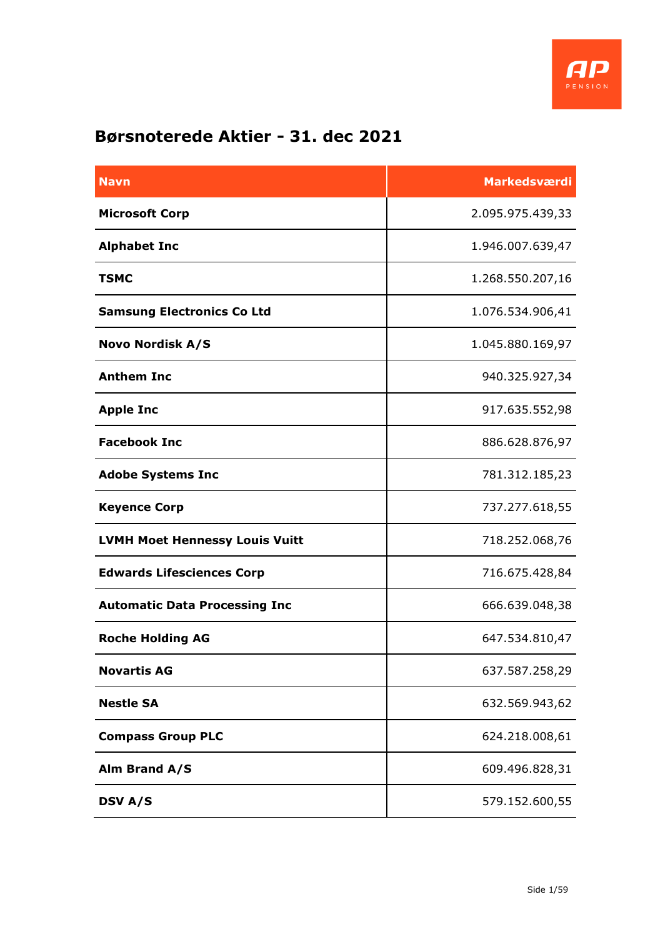

## **Børsnoterede Aktier - 31. dec 2021**

| <b>Navn</b>                           | <b>Markedsværdi</b> |
|---------------------------------------|---------------------|
| <b>Microsoft Corp</b>                 | 2.095.975.439,33    |
| <b>Alphabet Inc</b>                   | 1.946.007.639,47    |
| <b>TSMC</b>                           | 1.268.550.207,16    |
| <b>Samsung Electronics Co Ltd</b>     | 1.076.534.906,41    |
| <b>Novo Nordisk A/S</b>               | 1.045.880.169,97    |
| <b>Anthem Inc</b>                     | 940.325.927,34      |
| <b>Apple Inc</b>                      | 917.635.552,98      |
| <b>Facebook Inc</b>                   | 886.628.876,97      |
| <b>Adobe Systems Inc</b>              | 781.312.185,23      |
| <b>Keyence Corp</b>                   | 737.277.618,55      |
| <b>LVMH Moet Hennessy Louis Vuitt</b> | 718.252.068,76      |
| <b>Edwards Lifesciences Corp</b>      | 716.675.428,84      |
| <b>Automatic Data Processing Inc</b>  | 666.639.048,38      |
| <b>Roche Holding AG</b>               | 647.534.810,47      |
| <b>Novartis AG</b>                    | 637.587.258,29      |
| <b>Nestle SA</b>                      | 632.569.943,62      |
| <b>Compass Group PLC</b>              | 624.218.008,61      |
| Alm Brand A/S                         | 609.496.828,31      |
| <b>DSV A/S</b>                        | 579.152.600,55      |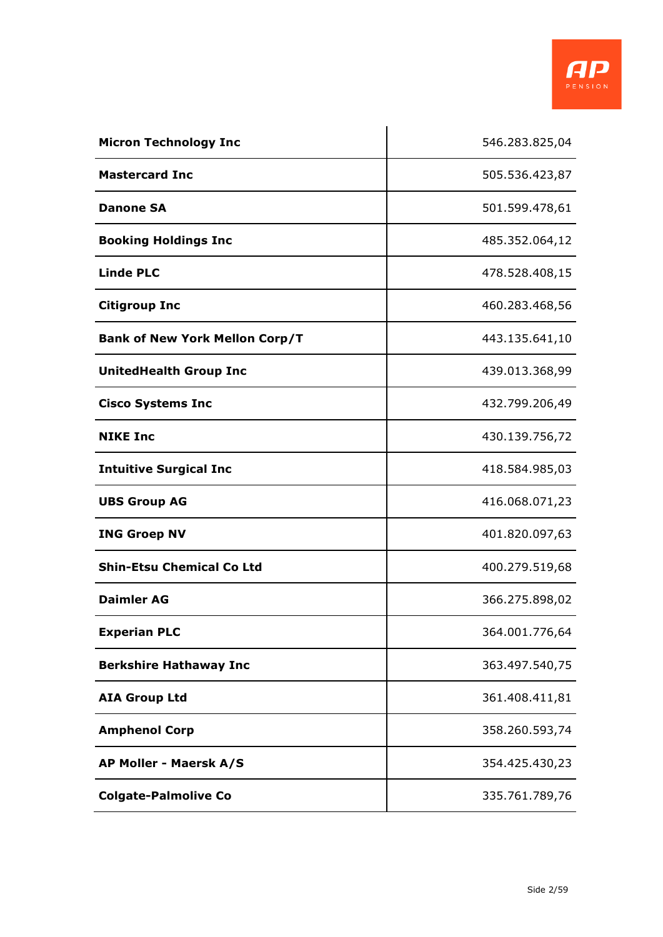

| <b>Micron Technology Inc</b>          | 546.283.825,04 |
|---------------------------------------|----------------|
| <b>Mastercard Inc</b>                 | 505.536.423,87 |
| <b>Danone SA</b>                      | 501.599.478,61 |
| <b>Booking Holdings Inc</b>           | 485.352.064,12 |
| <b>Linde PLC</b>                      | 478.528.408,15 |
| <b>Citigroup Inc</b>                  | 460.283.468,56 |
| <b>Bank of New York Mellon Corp/T</b> | 443.135.641,10 |
| <b>UnitedHealth Group Inc</b>         | 439.013.368,99 |
| <b>Cisco Systems Inc</b>              | 432.799.206,49 |
| <b>NIKE Inc</b>                       | 430.139.756,72 |
| <b>Intuitive Surgical Inc</b>         | 418.584.985,03 |
| <b>UBS Group AG</b>                   | 416.068.071,23 |
| <b>ING Groep NV</b>                   | 401.820.097,63 |
| <b>Shin-Etsu Chemical Co Ltd</b>      | 400.279.519,68 |
| <b>Daimler AG</b>                     | 366.275.898,02 |
| <b>Experian PLC</b>                   | 364.001.776,64 |
| <b>Berkshire Hathaway Inc</b>         | 363.497.540,75 |
| <b>AIA Group Ltd</b>                  | 361.408.411,81 |
| <b>Amphenol Corp</b>                  | 358.260.593,74 |
| AP Moller - Maersk A/S                | 354.425.430,23 |
| <b>Colgate-Palmolive Co</b>           | 335.761.789,76 |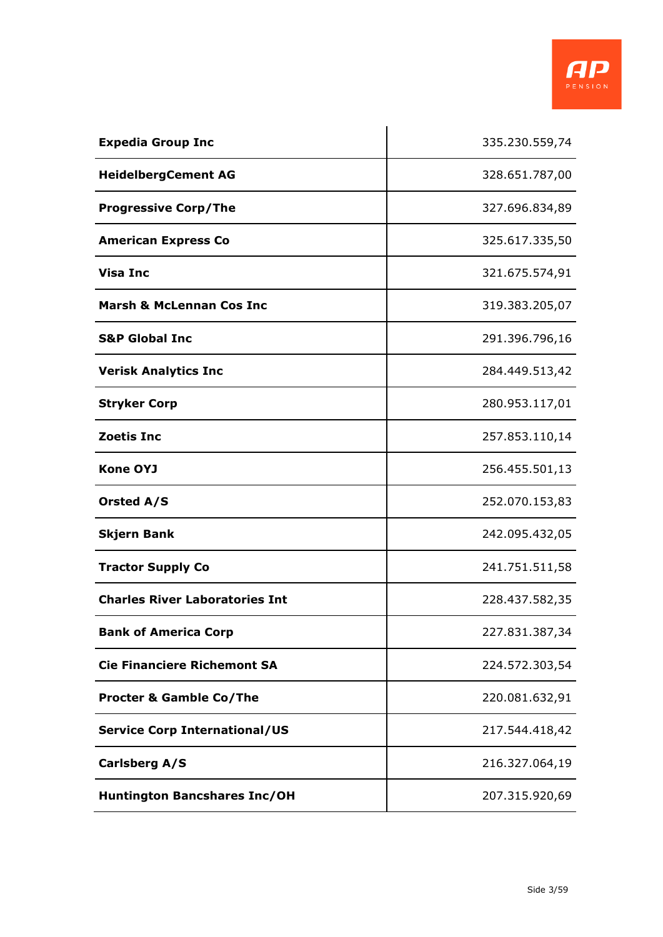

| <b>Expedia Group Inc</b>              | 335.230.559,74 |
|---------------------------------------|----------------|
| <b>HeidelbergCement AG</b>            | 328.651.787,00 |
| <b>Progressive Corp/The</b>           | 327.696.834,89 |
| <b>American Express Co</b>            | 325.617.335,50 |
| <b>Visa Inc</b>                       | 321.675.574,91 |
| <b>Marsh &amp; McLennan Cos Inc</b>   | 319.383.205,07 |
| <b>S&amp;P Global Inc</b>             | 291.396.796,16 |
| <b>Verisk Analytics Inc</b>           | 284.449.513,42 |
| <b>Stryker Corp</b>                   | 280.953.117,01 |
| <b>Zoetis Inc</b>                     | 257.853.110,14 |
| <b>Kone OYJ</b>                       | 256.455.501,13 |
| <b>Orsted A/S</b>                     | 252.070.153,83 |
| <b>Skjern Bank</b>                    | 242.095.432,05 |
| <b>Tractor Supply Co</b>              | 241.751.511,58 |
| <b>Charles River Laboratories Int</b> | 228.437.582,35 |
| <b>Bank of America Corp</b>           | 227.831.387,34 |
| <b>Cie Financiere Richemont SA</b>    | 224.572.303,54 |
| <b>Procter &amp; Gamble Co/The</b>    | 220.081.632,91 |
| <b>Service Corp International/US</b>  | 217.544.418,42 |
| <b>Carlsberg A/S</b>                  | 216.327.064,19 |
| <b>Huntington Bancshares Inc/OH</b>   | 207.315.920,69 |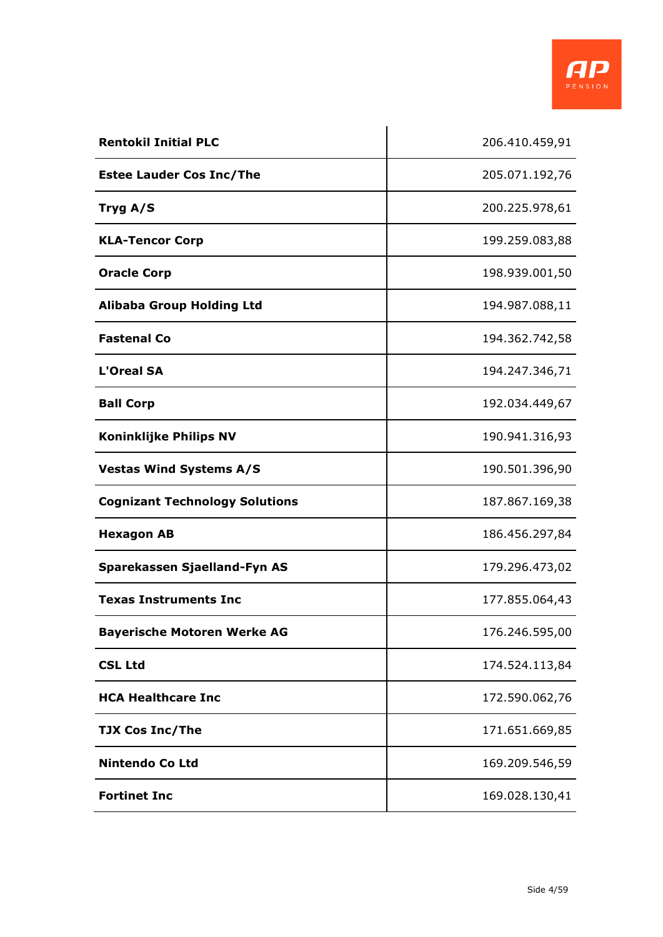

| <b>Rentokil Initial PLC</b>           | 206.410.459,91 |
|---------------------------------------|----------------|
| <b>Estee Lauder Cos Inc/The</b>       | 205.071.192,76 |
| Tryg A/S                              | 200.225.978,61 |
| <b>KLA-Tencor Corp</b>                | 199.259.083,88 |
| <b>Oracle Corp</b>                    | 198.939.001,50 |
| <b>Alibaba Group Holding Ltd</b>      | 194.987.088,11 |
| <b>Fastenal Co</b>                    | 194.362.742,58 |
| <b>L'Oreal SA</b>                     | 194.247.346,71 |
| <b>Ball Corp</b>                      | 192.034.449,67 |
| <b>Koninklijke Philips NV</b>         | 190.941.316,93 |
| <b>Vestas Wind Systems A/S</b>        | 190.501.396,90 |
| <b>Cognizant Technology Solutions</b> | 187.867.169,38 |
| <b>Hexagon AB</b>                     | 186.456.297,84 |
| Sparekassen Sjaelland-Fyn AS          | 179.296.473,02 |
| <b>Texas Instruments Inc</b>          | 177.855.064,43 |
| <b>Bayerische Motoren Werke AG</b>    | 176.246.595,00 |
| <b>CSL Ltd</b>                        | 174.524.113,84 |
| <b>HCA Healthcare Inc</b>             | 172.590.062,76 |
| <b>TJX Cos Inc/The</b>                | 171.651.669,85 |
| <b>Nintendo Co Ltd</b>                | 169.209.546,59 |
| <b>Fortinet Inc</b>                   | 169.028.130,41 |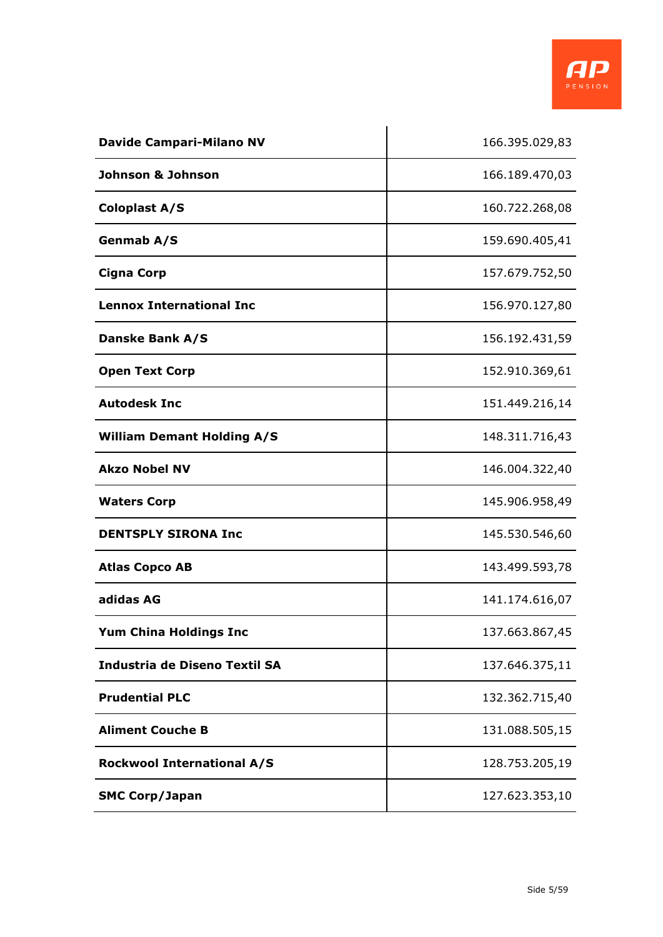

| <b>Davide Campari-Milano NV</b>      | 166.395.029,83 |
|--------------------------------------|----------------|
| Johnson & Johnson                    | 166.189.470,03 |
| <b>Coloplast A/S</b>                 | 160.722.268,08 |
| Genmab A/S                           | 159.690.405,41 |
| <b>Cigna Corp</b>                    | 157.679.752,50 |
| <b>Lennox International Inc</b>      | 156.970.127,80 |
| <b>Danske Bank A/S</b>               | 156.192.431,59 |
| <b>Open Text Corp</b>                | 152.910.369,61 |
| <b>Autodesk Inc</b>                  | 151.449.216,14 |
| <b>William Demant Holding A/S</b>    | 148.311.716,43 |
| <b>Akzo Nobel NV</b>                 | 146.004.322,40 |
| <b>Waters Corp</b>                   | 145.906.958,49 |
| <b>DENTSPLY SIRONA Inc</b>           | 145.530.546,60 |
| <b>Atlas Copco AB</b>                | 143.499.593,78 |
| adidas AG                            | 141.174.616,07 |
| <b>Yum China Holdings Inc</b>        | 137.663.867,45 |
| <b>Industria de Diseno Textil SA</b> | 137.646.375,11 |
| <b>Prudential PLC</b>                | 132.362.715,40 |
| <b>Aliment Couche B</b>              | 131.088.505,15 |
| <b>Rockwool International A/S</b>    | 128.753.205,19 |
| <b>SMC Corp/Japan</b>                | 127.623.353,10 |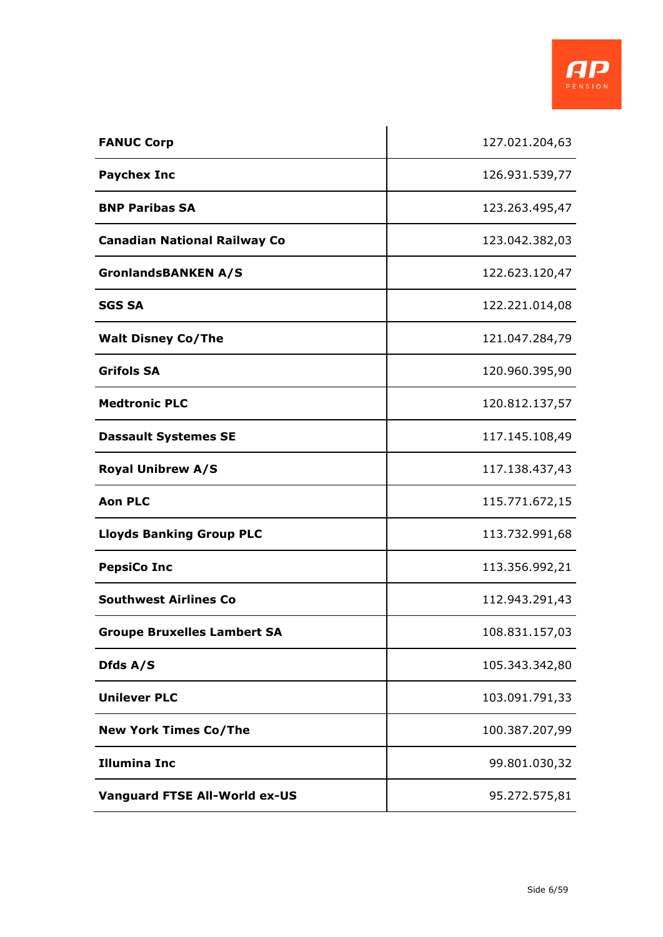

| <b>FANUC Corp</b>                    | 127.021.204,63 |
|--------------------------------------|----------------|
| <b>Paychex Inc</b>                   | 126.931.539,77 |
| <b>BNP Paribas SA</b>                | 123.263.495,47 |
| <b>Canadian National Railway Co</b>  | 123.042.382,03 |
| <b>GronlandsBANKEN A/S</b>           | 122.623.120,47 |
| <b>SGS SA</b>                        | 122.221.014,08 |
| <b>Walt Disney Co/The</b>            | 121.047.284,79 |
| <b>Grifols SA</b>                    | 120.960.395,90 |
| <b>Medtronic PLC</b>                 | 120.812.137,57 |
| <b>Dassault Systemes SE</b>          | 117.145.108,49 |
| <b>Royal Unibrew A/S</b>             | 117.138.437,43 |
| <b>Aon PLC</b>                       | 115.771.672,15 |
| <b>Lloyds Banking Group PLC</b>      | 113.732.991,68 |
| <b>PepsiCo Inc</b>                   | 113.356.992,21 |
| <b>Southwest Airlines Co</b>         | 112.943.291,43 |
| <b>Groupe Bruxelles Lambert SA</b>   | 108.831.157,03 |
| Dfds A/S                             | 105.343.342,80 |
| <b>Unilever PLC</b>                  | 103.091.791,33 |
| <b>New York Times Co/The</b>         | 100.387.207,99 |
| <b>Illumina Inc</b>                  | 99.801.030,32  |
| <b>Vanguard FTSE All-World ex-US</b> | 95.272.575,81  |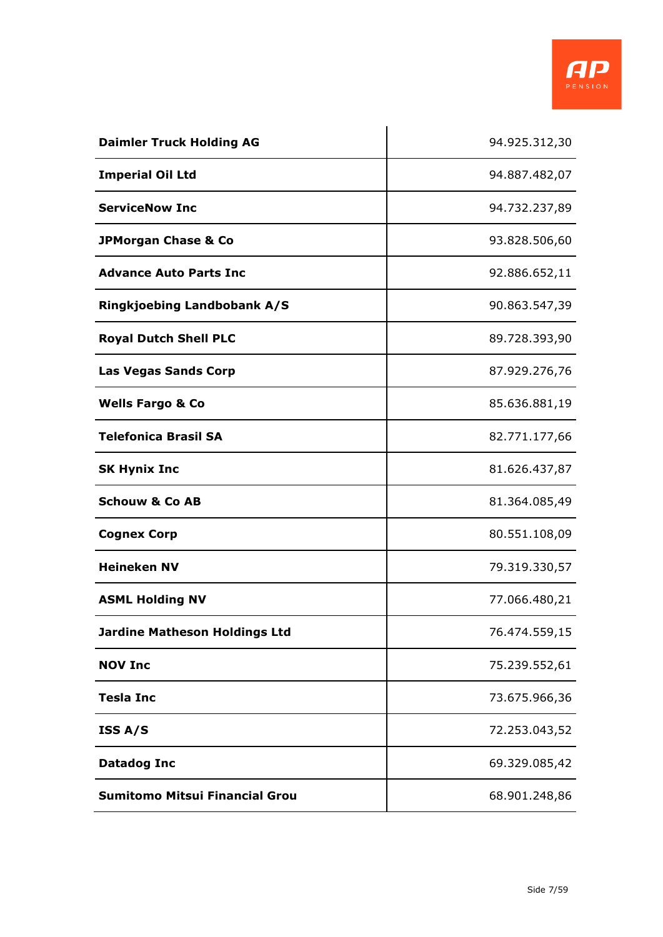

| <b>Daimler Truck Holding AG</b>       | 94.925.312,30 |
|---------------------------------------|---------------|
| <b>Imperial Oil Ltd</b>               | 94.887.482,07 |
| <b>ServiceNow Inc</b>                 | 94.732.237,89 |
| JPMorgan Chase & Co                   | 93.828.506,60 |
| <b>Advance Auto Parts Inc.</b>        | 92.886.652,11 |
| <b>Ringkjoebing Landbobank A/S</b>    | 90.863.547,39 |
| <b>Royal Dutch Shell PLC</b>          | 89.728.393,90 |
| <b>Las Vegas Sands Corp</b>           | 87.929.276,76 |
| <b>Wells Fargo &amp; Co</b>           | 85.636.881,19 |
| <b>Telefonica Brasil SA</b>           | 82.771.177,66 |
| <b>SK Hynix Inc</b>                   | 81.626.437,87 |
| <b>Schouw &amp; Co AB</b>             | 81.364.085,49 |
| <b>Cognex Corp</b>                    | 80.551.108,09 |
| <b>Heineken NV</b>                    | 79.319.330,57 |
| <b>ASML Holding NV</b>                | 77.066.480,21 |
| <b>Jardine Matheson Holdings Ltd</b>  | 76.474.559,15 |
| <b>NOV Inc</b>                        | 75.239.552,61 |
| <b>Tesla Inc</b>                      | 73.675.966,36 |
| ISS A/S                               | 72.253.043,52 |
| <b>Datadog Inc</b>                    | 69.329.085,42 |
| <b>Sumitomo Mitsui Financial Grou</b> | 68.901.248,86 |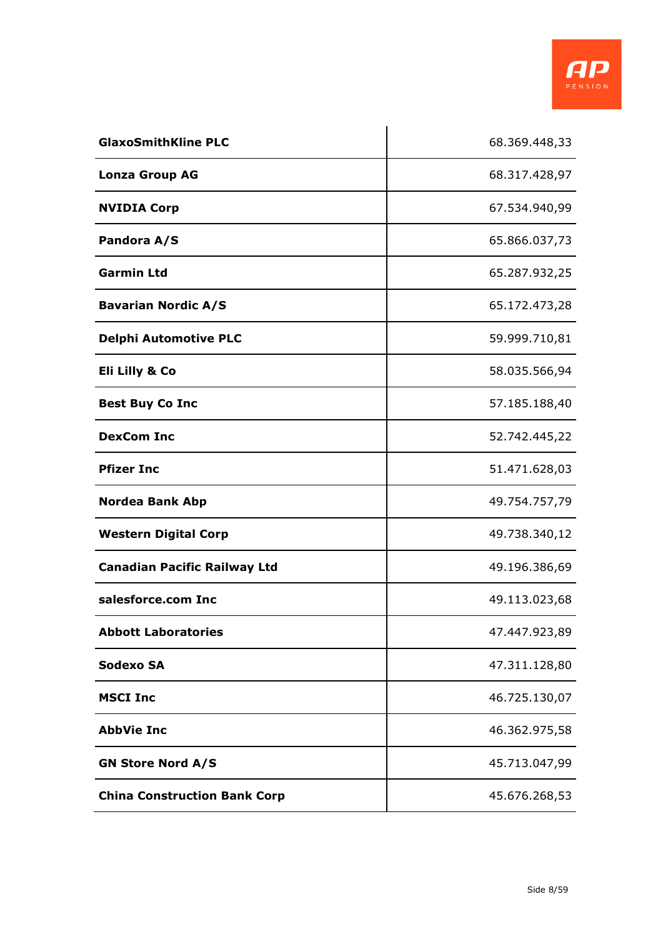

| <b>GlaxoSmithKline PLC</b>          | 68.369.448,33 |
|-------------------------------------|---------------|
| <b>Lonza Group AG</b>               | 68.317.428,97 |
| <b>NVIDIA Corp</b>                  | 67.534.940,99 |
| Pandora A/S                         | 65.866.037,73 |
| <b>Garmin Ltd</b>                   | 65.287.932,25 |
| <b>Bavarian Nordic A/S</b>          | 65.172.473,28 |
| <b>Delphi Automotive PLC</b>        | 59.999.710,81 |
| Eli Lilly & Co                      | 58.035.566,94 |
| <b>Best Buy Co Inc</b>              | 57.185.188,40 |
| <b>DexCom Inc</b>                   | 52.742.445,22 |
| <b>Pfizer Inc</b>                   | 51.471.628,03 |
| <b>Nordea Bank Abp</b>              | 49.754.757,79 |
| <b>Western Digital Corp</b>         | 49.738.340,12 |
| <b>Canadian Pacific Railway Ltd</b> | 49.196.386,69 |
| salesforce.com Inc                  | 49.113.023,68 |
| <b>Abbott Laboratories</b>          | 47.447.923,89 |
| <b>Sodexo SA</b>                    | 47.311.128,80 |
| <b>MSCI Inc</b>                     | 46.725.130,07 |
| <b>AbbVie Inc</b>                   | 46.362.975,58 |
| <b>GN Store Nord A/S</b>            | 45.713.047,99 |
| <b>China Construction Bank Corp</b> | 45.676.268,53 |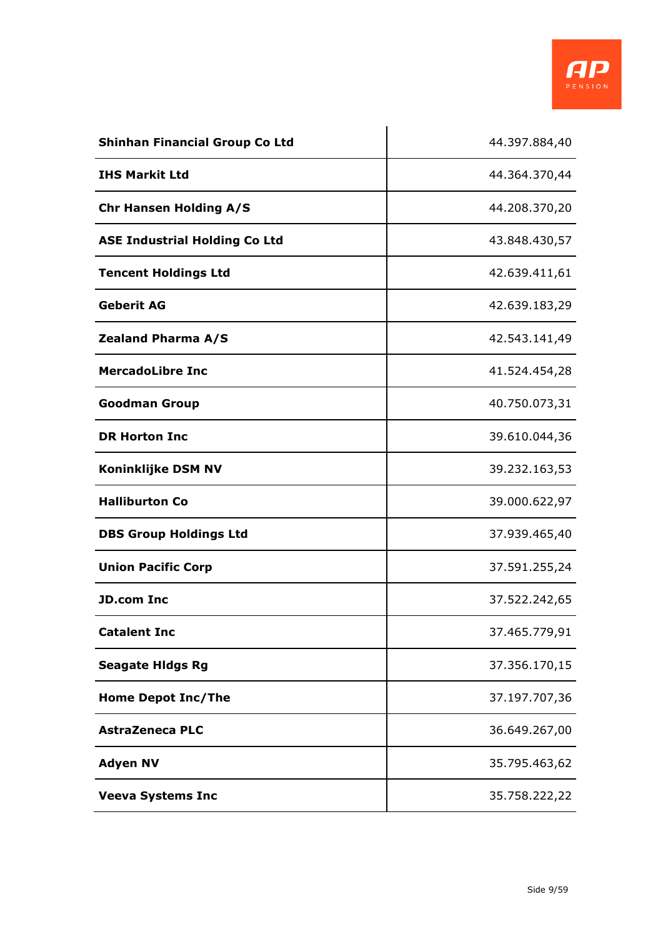

| <b>Shinhan Financial Group Co Ltd</b> | 44.397.884,40 |
|---------------------------------------|---------------|
| <b>IHS Markit Ltd</b>                 | 44.364.370,44 |
| <b>Chr Hansen Holding A/S</b>         | 44.208.370,20 |
| <b>ASE Industrial Holding Co Ltd</b>  | 43.848.430,57 |
| <b>Tencent Holdings Ltd</b>           | 42.639.411,61 |
| <b>Geberit AG</b>                     | 42.639.183,29 |
| <b>Zealand Pharma A/S</b>             | 42.543.141,49 |
| <b>MercadoLibre Inc</b>               | 41.524.454,28 |
| <b>Goodman Group</b>                  | 40.750.073,31 |
| <b>DR Horton Inc</b>                  | 39.610.044,36 |
| <b>Koninklijke DSM NV</b>             | 39.232.163,53 |
| <b>Halliburton Co</b>                 | 39.000.622,97 |
| <b>DBS Group Holdings Ltd</b>         | 37.939.465,40 |
| <b>Union Pacific Corp</b>             | 37.591.255,24 |
| <b>JD.com Inc</b>                     | 37.522.242,65 |
| <b>Catalent Inc</b>                   | 37.465.779,91 |
| <b>Seagate Hidgs Rg</b>               | 37.356.170,15 |
| <b>Home Depot Inc/The</b>             | 37.197.707,36 |
| <b>AstraZeneca PLC</b>                | 36.649.267,00 |
| <b>Adyen NV</b>                       | 35.795.463,62 |
| <b>Veeva Systems Inc</b>              | 35.758.222,22 |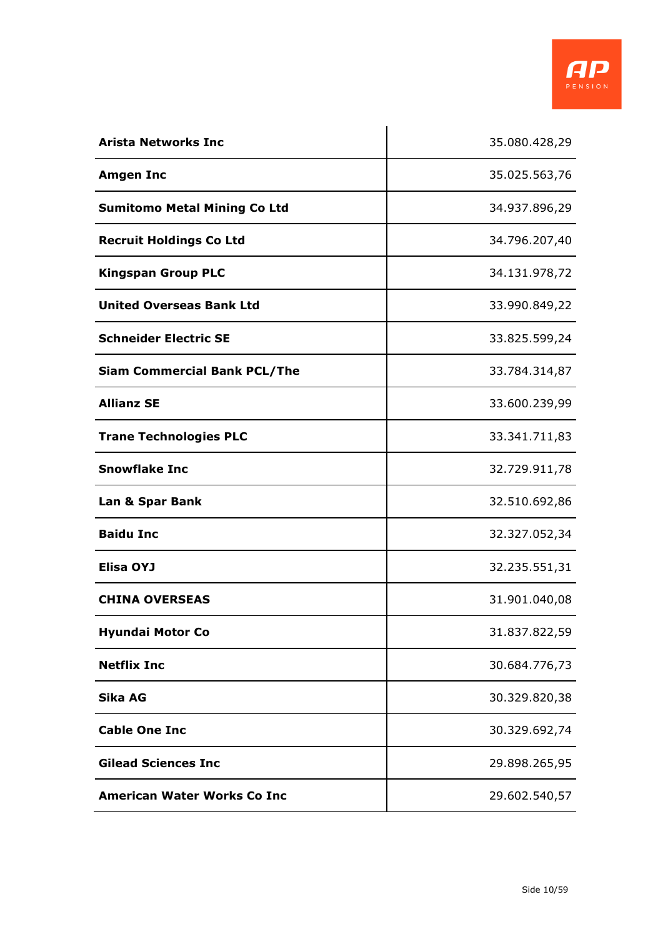

| <b>Arista Networks Inc</b>          | 35.080.428,29 |
|-------------------------------------|---------------|
| <b>Amgen Inc</b>                    | 35.025.563,76 |
| <b>Sumitomo Metal Mining Co Ltd</b> | 34.937.896,29 |
| <b>Recruit Holdings Co Ltd</b>      | 34.796.207,40 |
| <b>Kingspan Group PLC</b>           | 34.131.978,72 |
| <b>United Overseas Bank Ltd</b>     | 33.990.849,22 |
| <b>Schneider Electric SE</b>        | 33.825.599,24 |
| <b>Siam Commercial Bank PCL/The</b> | 33.784.314,87 |
| <b>Allianz SE</b>                   | 33.600.239,99 |
| <b>Trane Technologies PLC</b>       | 33.341.711,83 |
| <b>Snowflake Inc</b>                | 32.729.911,78 |
| Lan & Spar Bank                     | 32.510.692,86 |
| <b>Baidu Inc</b>                    | 32.327.052,34 |
| <b>Elisa OYJ</b>                    | 32.235.551,31 |
| <b>CHINA OVERSEAS</b>               | 31.901.040,08 |
| <b>Hyundai Motor Co</b>             | 31.837.822,59 |
| <b>Netflix Inc</b>                  | 30.684.776,73 |
| Sika AG                             | 30.329.820,38 |
| <b>Cable One Inc</b>                | 30.329.692,74 |
| <b>Gilead Sciences Inc</b>          | 29.898.265,95 |
| <b>American Water Works Co Inc</b>  | 29.602.540,57 |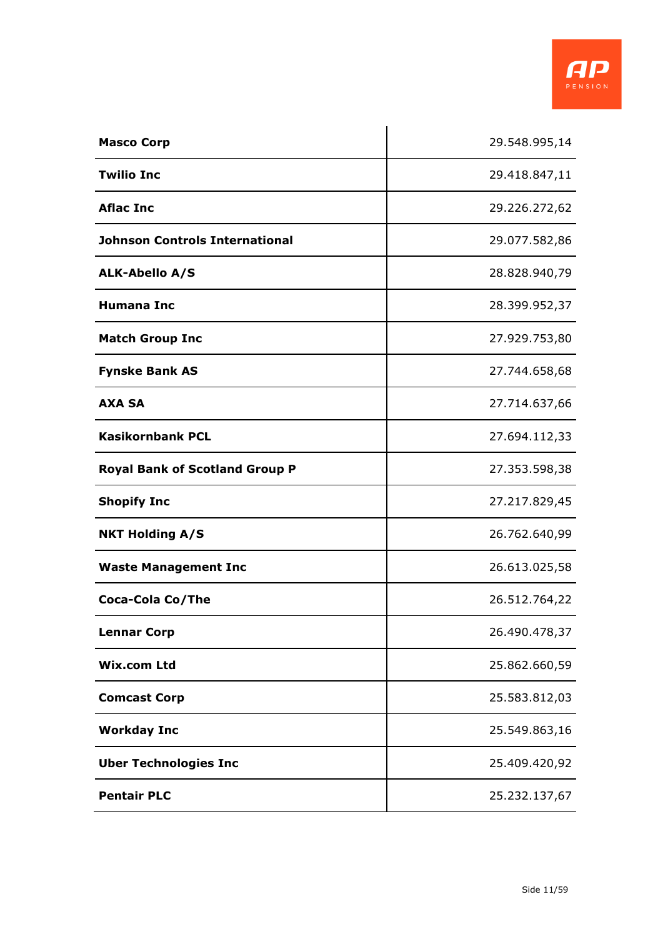

| <b>Masco Corp</b>                     | 29.548.995,14 |
|---------------------------------------|---------------|
| <b>Twilio Inc</b>                     | 29.418.847,11 |
| <b>Aflac Inc</b>                      | 29.226.272,62 |
| <b>Johnson Controls International</b> | 29.077.582,86 |
| <b>ALK-Abello A/S</b>                 | 28.828.940,79 |
| <b>Humana Inc</b>                     | 28.399.952,37 |
| <b>Match Group Inc</b>                | 27.929.753,80 |
| <b>Fynske Bank AS</b>                 | 27.744.658,68 |
| <b>AXA SA</b>                         | 27.714.637,66 |
| <b>Kasikornbank PCL</b>               | 27.694.112,33 |
| <b>Royal Bank of Scotland Group P</b> | 27.353.598,38 |
| <b>Shopify Inc</b>                    | 27.217.829,45 |
| <b>NKT Holding A/S</b>                | 26.762.640,99 |
| <b>Waste Management Inc</b>           | 26.613.025,58 |
| Coca-Cola Co/The                      | 26.512.764,22 |
| <b>Lennar Corp</b>                    | 26.490.478,37 |
| Wix.com Ltd                           | 25.862.660,59 |
| <b>Comcast Corp</b>                   | 25.583.812,03 |
| <b>Workday Inc</b>                    | 25.549.863,16 |
| <b>Uber Technologies Inc</b>          | 25.409.420,92 |
| <b>Pentair PLC</b>                    | 25.232.137,67 |

 $\mathbf{r}$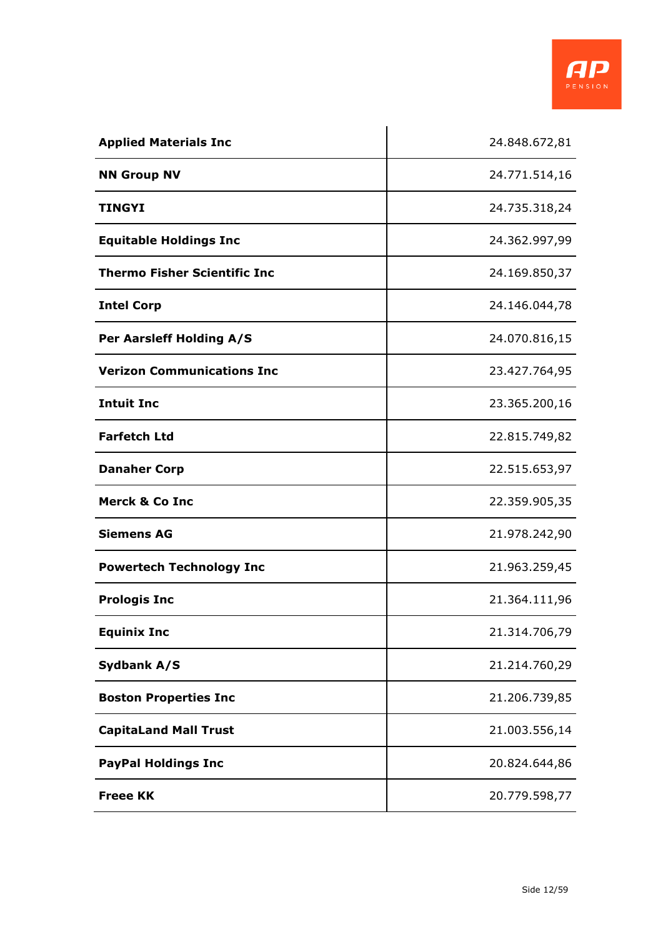

| <b>Applied Materials Inc</b>        | 24.848.672,81 |
|-------------------------------------|---------------|
| <b>NN Group NV</b>                  | 24.771.514,16 |
| <b>TINGYI</b>                       | 24.735.318,24 |
| <b>Equitable Holdings Inc</b>       | 24.362.997,99 |
| <b>Thermo Fisher Scientific Inc</b> | 24.169.850,37 |
| <b>Intel Corp</b>                   | 24.146.044,78 |
| Per Aarsleff Holding A/S            | 24.070.816,15 |
| <b>Verizon Communications Inc</b>   | 23.427.764,95 |
| <b>Intuit Inc</b>                   | 23.365.200,16 |
| <b>Farfetch Ltd</b>                 | 22.815.749,82 |
| <b>Danaher Corp</b>                 | 22.515.653,97 |
| <b>Merck &amp; Co Inc</b>           | 22.359.905,35 |
| <b>Siemens AG</b>                   | 21.978.242,90 |
| <b>Powertech Technology Inc</b>     | 21.963.259,45 |
| <b>Prologis Inc</b>                 | 21.364.111,96 |
| <b>Equinix Inc</b>                  | 21.314.706,79 |
| Sydbank A/S                         | 21.214.760,29 |
| <b>Boston Properties Inc</b>        | 21.206.739,85 |
| <b>CapitaLand Mall Trust</b>        | 21.003.556,14 |
| <b>PayPal Holdings Inc</b>          | 20.824.644,86 |
| <b>Freee KK</b>                     | 20.779.598,77 |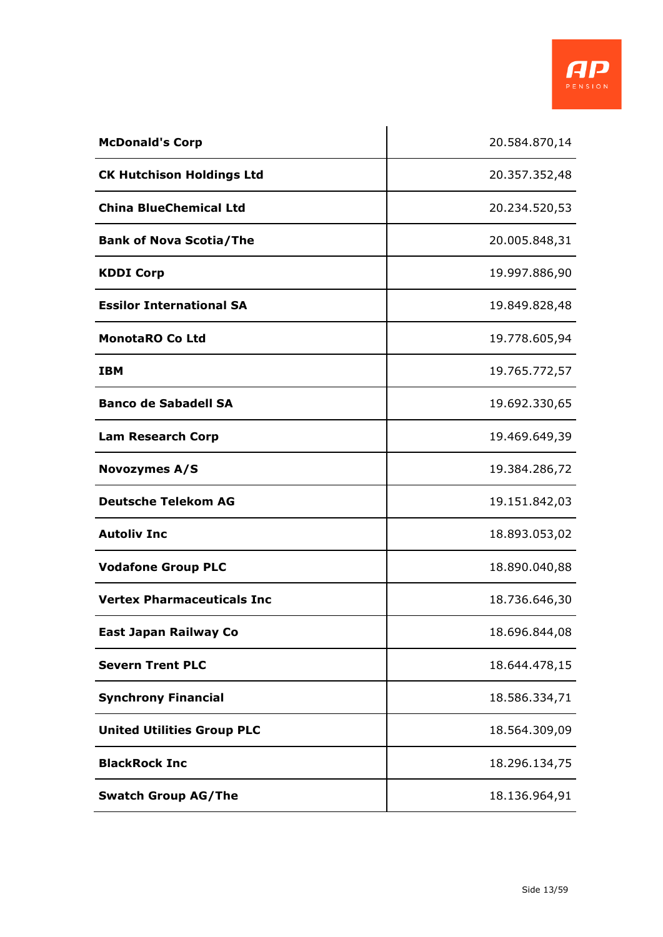

| <b>McDonald's Corp</b>            | 20.584.870,14 |
|-----------------------------------|---------------|
| <b>CK Hutchison Holdings Ltd</b>  | 20.357.352,48 |
| <b>China BlueChemical Ltd</b>     | 20.234.520,53 |
| <b>Bank of Nova Scotia/The</b>    | 20.005.848,31 |
| <b>KDDI Corp</b>                  | 19.997.886,90 |
| <b>Essilor International SA</b>   | 19.849.828,48 |
| <b>MonotaRO Co Ltd</b>            | 19.778.605,94 |
| <b>IBM</b>                        | 19.765.772,57 |
| <b>Banco de Sabadell SA</b>       | 19.692.330,65 |
| <b>Lam Research Corp</b>          | 19.469.649,39 |
| <b>Novozymes A/S</b>              | 19.384.286,72 |
| <b>Deutsche Telekom AG</b>        | 19.151.842,03 |
| <b>Autoliv Inc</b>                | 18.893.053,02 |
| <b>Vodafone Group PLC</b>         | 18.890.040,88 |
| <b>Vertex Pharmaceuticals Inc</b> | 18.736.646,30 |
| East Japan Railway Co             | 18.696.844,08 |
| <b>Severn Trent PLC</b>           | 18.644.478,15 |
| <b>Synchrony Financial</b>        | 18.586.334,71 |
| <b>United Utilities Group PLC</b> | 18.564.309,09 |
| <b>BlackRock Inc</b>              | 18.296.134,75 |
| <b>Swatch Group AG/The</b>        | 18.136.964,91 |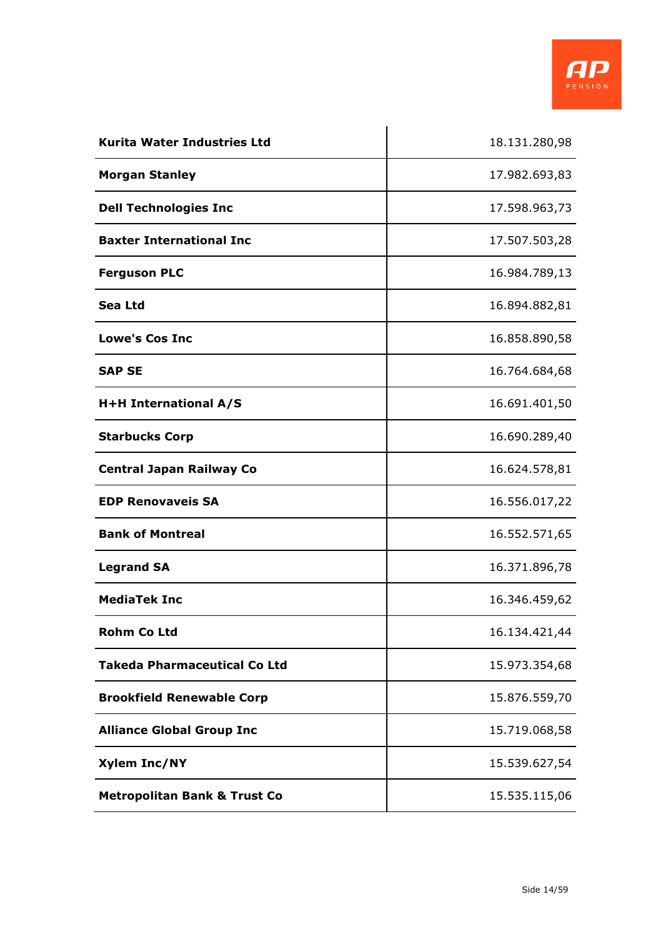

| <b>Kurita Water Industries Ltd</b>      | 18.131.280,98 |
|-----------------------------------------|---------------|
| <b>Morgan Stanley</b>                   | 17.982.693,83 |
| <b>Dell Technologies Inc</b>            | 17.598.963,73 |
| <b>Baxter International Inc</b>         | 17.507.503,28 |
| <b>Ferguson PLC</b>                     | 16.984.789,13 |
| Sea Ltd                                 | 16.894.882,81 |
| <b>Lowe's Cos Inc</b>                   | 16.858.890,58 |
| <b>SAP SE</b>                           | 16.764.684,68 |
| H+H International A/S                   | 16.691.401,50 |
| <b>Starbucks Corp</b>                   | 16.690.289,40 |
| <b>Central Japan Railway Co</b>         | 16.624.578,81 |
| <b>EDP Renovaveis SA</b>                | 16.556.017,22 |
| <b>Bank of Montreal</b>                 | 16.552.571,65 |
| <b>Legrand SA</b>                       | 16.371.896,78 |
| <b>MediaTek Inc</b>                     | 16.346.459,62 |
| <b>Rohm Co Ltd</b>                      | 16.134.421,44 |
| <b>Takeda Pharmaceutical Co Ltd</b>     | 15.973.354,68 |
| <b>Brookfield Renewable Corp</b>        | 15.876.559,70 |
| <b>Alliance Global Group Inc</b>        | 15.719.068,58 |
| <b>Xylem Inc/NY</b>                     | 15.539.627,54 |
| <b>Metropolitan Bank &amp; Trust Co</b> | 15.535.115,06 |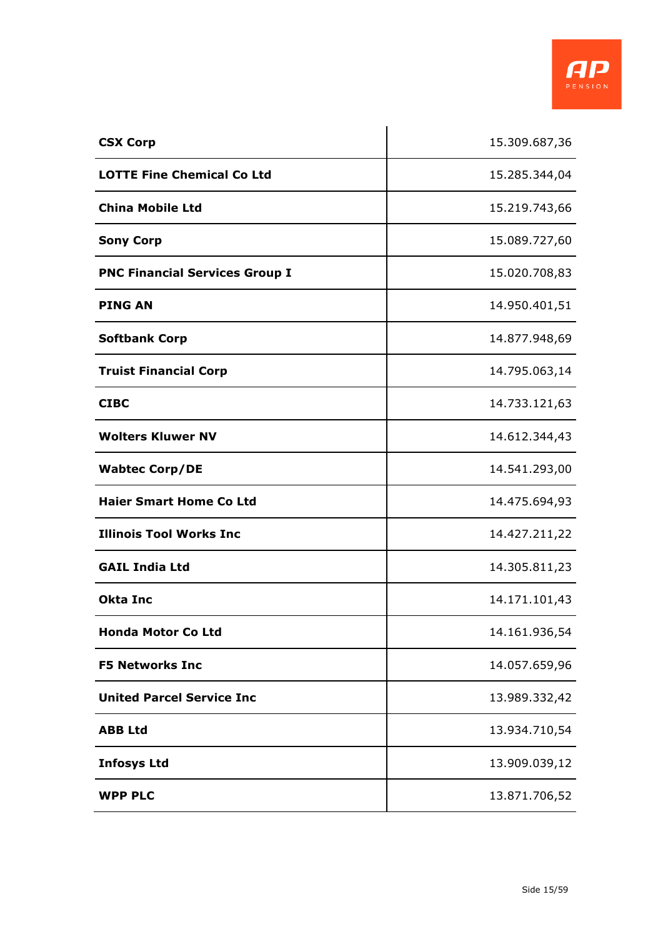

| <b>CSX Corp</b>                       | 15.309.687,36 |
|---------------------------------------|---------------|
| <b>LOTTE Fine Chemical Co Ltd</b>     | 15.285.344,04 |
| <b>China Mobile Ltd</b>               | 15.219.743,66 |
| <b>Sony Corp</b>                      | 15.089.727,60 |
| <b>PNC Financial Services Group I</b> | 15.020.708,83 |
| <b>PING AN</b>                        | 14.950.401,51 |
| <b>Softbank Corp</b>                  | 14.877.948,69 |
| <b>Truist Financial Corp</b>          | 14.795.063,14 |
| <b>CIBC</b>                           | 14.733.121,63 |
| <b>Wolters Kluwer NV</b>              | 14.612.344,43 |
| <b>Wabtec Corp/DE</b>                 | 14.541.293,00 |
| <b>Haier Smart Home Co Ltd</b>        | 14.475.694,93 |
| <b>Illinois Tool Works Inc</b>        | 14.427.211,22 |
| <b>GAIL India Ltd</b>                 | 14.305.811,23 |
| <b>Okta Inc</b>                       | 14.171.101,43 |
| <b>Honda Motor Co Ltd</b>             | 14.161.936,54 |
| <b>F5 Networks Inc</b>                | 14.057.659,96 |
| <b>United Parcel Service Inc</b>      | 13.989.332,42 |
| <b>ABB Ltd</b>                        | 13.934.710,54 |
| <b>Infosys Ltd</b>                    | 13.909.039,12 |
| <b>WPP PLC</b>                        | 13.871.706,52 |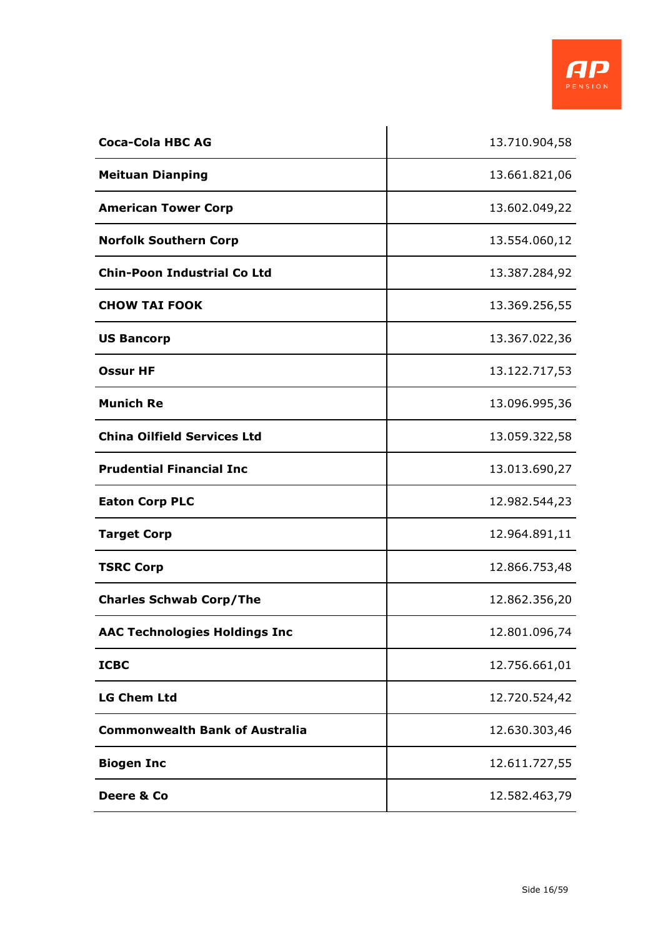

| <b>Coca-Cola HBC AG</b>               | 13.710.904,58 |
|---------------------------------------|---------------|
| <b>Meituan Dianping</b>               | 13.661.821,06 |
| <b>American Tower Corp</b>            | 13.602.049,22 |
| <b>Norfolk Southern Corp</b>          | 13.554.060,12 |
| <b>Chin-Poon Industrial Co Ltd</b>    | 13.387.284,92 |
| <b>CHOW TAI FOOK</b>                  | 13.369.256,55 |
| <b>US Bancorp</b>                     | 13.367.022,36 |
| <b>Ossur HF</b>                       | 13.122.717,53 |
| <b>Munich Re</b>                      | 13.096.995,36 |
| <b>China Oilfield Services Ltd</b>    | 13.059.322,58 |
| <b>Prudential Financial Inc</b>       | 13.013.690,27 |
| <b>Eaton Corp PLC</b>                 | 12.982.544,23 |
| <b>Target Corp</b>                    | 12.964.891,11 |
| <b>TSRC Corp</b>                      | 12.866.753,48 |
| <b>Charles Schwab Corp/The</b>        | 12.862.356,20 |
| <b>AAC Technologies Holdings Inc</b>  | 12.801.096,74 |
| <b>ICBC</b>                           | 12.756.661,01 |
| <b>LG Chem Ltd</b>                    | 12.720.524,42 |
| <b>Commonwealth Bank of Australia</b> | 12.630.303,46 |
| <b>Biogen Inc</b>                     | 12.611.727,55 |
| Deere & Co                            | 12.582.463,79 |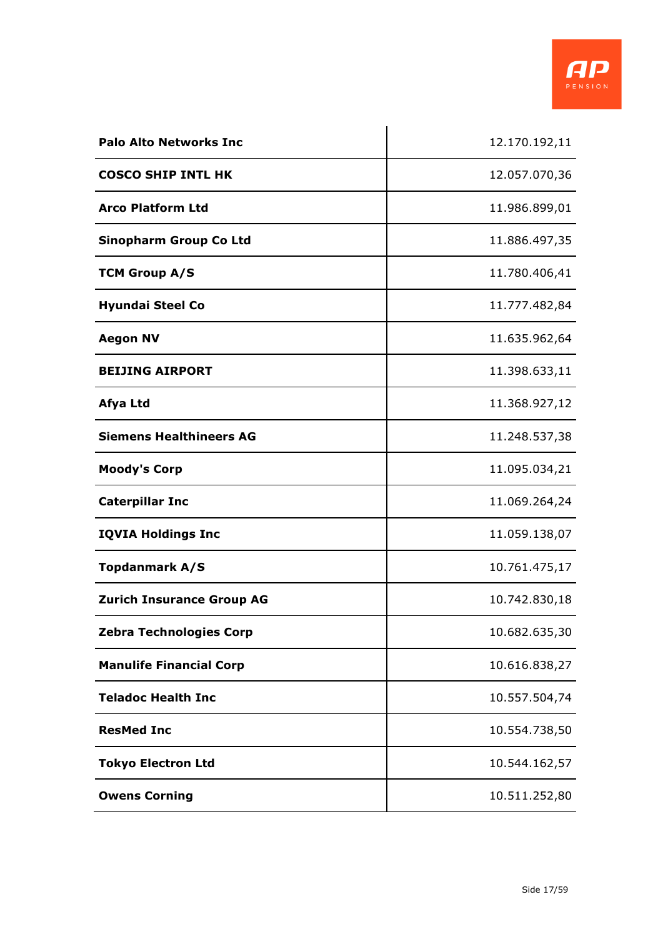

| <b>Palo Alto Networks Inc</b>    | 12.170.192,11 |
|----------------------------------|---------------|
| <b>COSCO SHIP INTL HK</b>        | 12.057.070,36 |
| <b>Arco Platform Ltd</b>         | 11.986.899,01 |
| <b>Sinopharm Group Co Ltd</b>    | 11.886.497,35 |
| <b>TCM Group A/S</b>             | 11.780.406,41 |
| <b>Hyundai Steel Co</b>          | 11.777.482,84 |
| <b>Aegon NV</b>                  | 11.635.962,64 |
| <b>BEIJING AIRPORT</b>           | 11.398.633,11 |
| Afya Ltd                         | 11.368.927,12 |
| <b>Siemens Healthineers AG</b>   | 11.248.537,38 |
| <b>Moody's Corp</b>              | 11.095.034,21 |
| <b>Caterpillar Inc</b>           | 11.069.264,24 |
| <b>IQVIA Holdings Inc</b>        | 11.059.138,07 |
| <b>Topdanmark A/S</b>            | 10.761.475,17 |
| <b>Zurich Insurance Group AG</b> | 10.742.830,18 |
| <b>Zebra Technologies Corp</b>   | 10.682.635,30 |
| <b>Manulife Financial Corp</b>   | 10.616.838,27 |
| <b>Teladoc Health Inc</b>        | 10.557.504,74 |
| <b>ResMed Inc</b>                | 10.554.738,50 |
| <b>Tokyo Electron Ltd</b>        | 10.544.162,57 |
| <b>Owens Corning</b>             | 10.511.252,80 |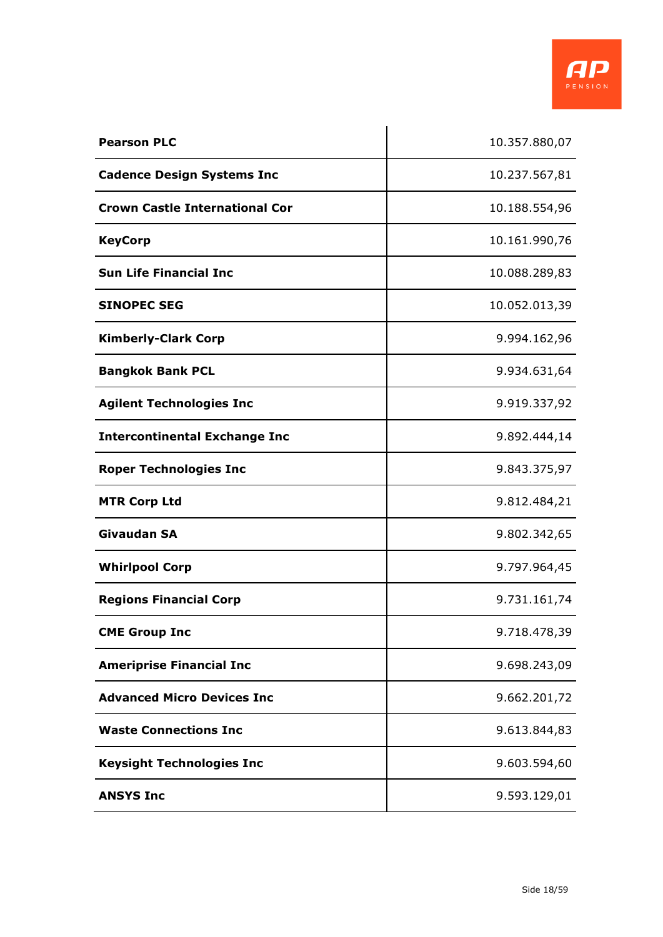

| <b>Pearson PLC</b>                    | 10.357.880,07 |
|---------------------------------------|---------------|
| <b>Cadence Design Systems Inc</b>     | 10.237.567,81 |
| <b>Crown Castle International Cor</b> | 10.188.554,96 |
| <b>KeyCorp</b>                        | 10.161.990,76 |
| <b>Sun Life Financial Inc.</b>        | 10.088.289,83 |
| <b>SINOPEC SEG</b>                    | 10.052.013,39 |
| <b>Kimberly-Clark Corp</b>            | 9.994.162,96  |
| <b>Bangkok Bank PCL</b>               | 9.934.631,64  |
| <b>Agilent Technologies Inc</b>       | 9.919.337,92  |
| <b>Intercontinental Exchange Inc</b>  | 9.892.444,14  |
| <b>Roper Technologies Inc</b>         | 9.843.375,97  |
| <b>MTR Corp Ltd</b>                   | 9.812.484,21  |
| <b>Givaudan SA</b>                    | 9.802.342,65  |
| <b>Whirlpool Corp</b>                 | 9.797.964,45  |
| <b>Regions Financial Corp</b>         | 9.731.161,74  |
| <b>CME Group Inc</b>                  | 9.718.478,39  |
| <b>Ameriprise Financial Inc</b>       | 9.698.243,09  |
| <b>Advanced Micro Devices Inc</b>     | 9.662.201,72  |
| <b>Waste Connections Inc</b>          | 9.613.844,83  |
| <b>Keysight Technologies Inc</b>      | 9.603.594,60  |
| <b>ANSYS Inc</b>                      | 9.593.129,01  |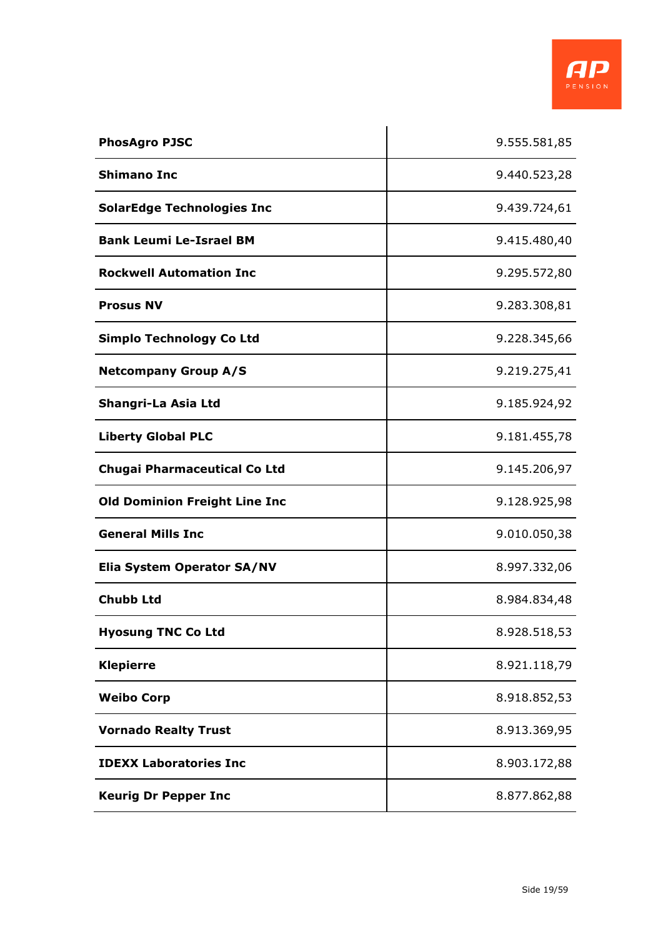

| <b>PhosAgro PJSC</b>                 | 9.555.581,85 |
|--------------------------------------|--------------|
| <b>Shimano Inc</b>                   | 9.440.523,28 |
| <b>SolarEdge Technologies Inc</b>    | 9.439.724,61 |
| <b>Bank Leumi Le-Israel BM</b>       | 9.415.480,40 |
| <b>Rockwell Automation Inc</b>       | 9.295.572,80 |
| <b>Prosus NV</b>                     | 9.283.308,81 |
| <b>Simplo Technology Co Ltd</b>      | 9.228.345,66 |
| <b>Netcompany Group A/S</b>          | 9.219.275,41 |
| Shangri-La Asia Ltd                  | 9.185.924,92 |
| <b>Liberty Global PLC</b>            | 9.181.455,78 |
| <b>Chugai Pharmaceutical Co Ltd</b>  | 9.145.206,97 |
| <b>Old Dominion Freight Line Inc</b> | 9.128.925,98 |
| <b>General Mills Inc</b>             | 9.010.050,38 |
| Elia System Operator SA/NV           | 8.997.332,06 |
| <b>Chubb Ltd</b>                     | 8.984.834,48 |
| <b>Hyosung TNC Co Ltd</b>            | 8.928.518,53 |
| <b>Klepierre</b>                     | 8.921.118,79 |
| <b>Weibo Corp</b>                    | 8.918.852,53 |
| <b>Vornado Realty Trust</b>          | 8.913.369,95 |
| <b>IDEXX Laboratories Inc</b>        | 8.903.172,88 |
| <b>Keurig Dr Pepper Inc</b>          | 8.877.862,88 |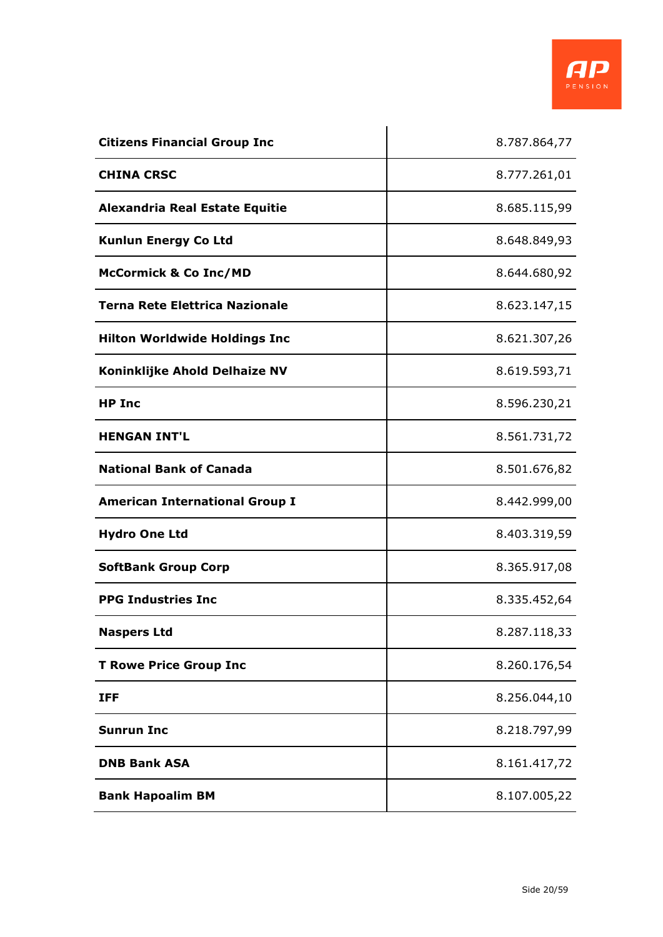

| <b>Citizens Financial Group Inc</b>   | 8.787.864,77 |
|---------------------------------------|--------------|
| <b>CHINA CRSC</b>                     | 8.777.261,01 |
| <b>Alexandria Real Estate Equitie</b> | 8.685.115,99 |
| <b>Kunlun Energy Co Ltd</b>           | 8.648.849,93 |
| <b>McCormick &amp; Co Inc/MD</b>      | 8.644.680,92 |
| Terna Rete Elettrica Nazionale        | 8.623.147,15 |
| <b>Hilton Worldwide Holdings Inc</b>  | 8.621.307,26 |
| Koninklijke Ahold Delhaize NV         | 8.619.593,71 |
| <b>HP Inc</b>                         | 8.596.230,21 |
| <b>HENGAN INT'L</b>                   | 8.561.731,72 |
| <b>National Bank of Canada</b>        | 8.501.676,82 |
| <b>American International Group I</b> | 8.442.999,00 |
| <b>Hydro One Ltd</b>                  | 8.403.319,59 |
| <b>SoftBank Group Corp</b>            | 8.365.917,08 |
| <b>PPG Industries Inc</b>             | 8.335.452,64 |
| <b>Naspers Ltd</b>                    | 8.287.118,33 |
| <b>T Rowe Price Group Inc</b>         | 8.260.176,54 |
| <b>IFF</b>                            | 8.256.044,10 |
| <b>Sunrun Inc</b>                     | 8.218.797,99 |
| <b>DNB Bank ASA</b>                   | 8.161.417,72 |
| <b>Bank Hapoalim BM</b>               | 8.107.005,22 |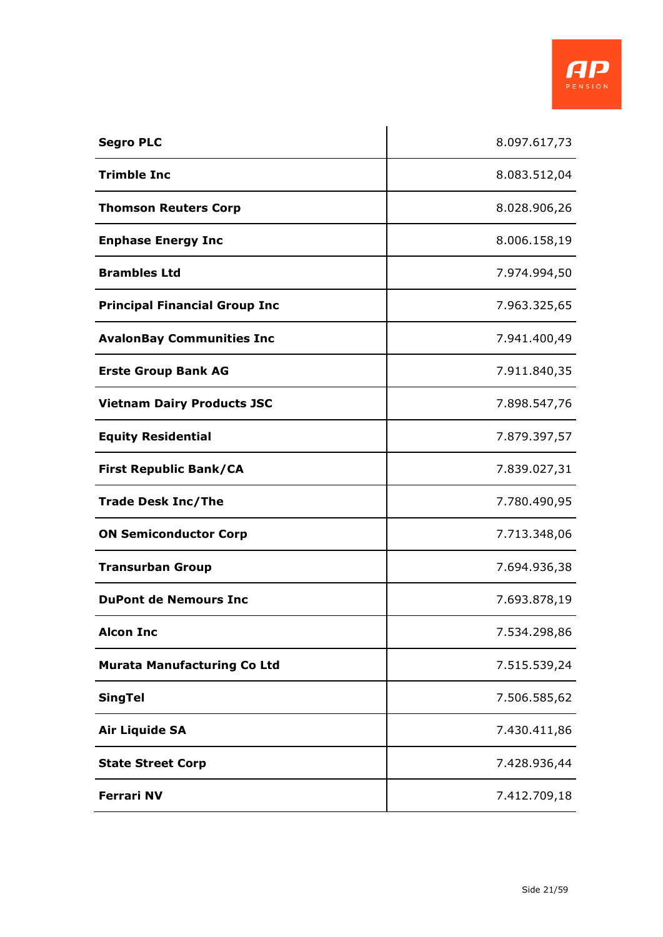

| <b>Segro PLC</b>                     | 8.097.617,73 |
|--------------------------------------|--------------|
| <b>Trimble Inc</b>                   | 8.083.512,04 |
| <b>Thomson Reuters Corp</b>          | 8.028.906,26 |
| <b>Enphase Energy Inc</b>            | 8.006.158,19 |
| <b>Brambles Ltd</b>                  | 7.974.994,50 |
| <b>Principal Financial Group Inc</b> | 7.963.325,65 |
| <b>AvalonBay Communities Inc</b>     | 7.941.400,49 |
| <b>Erste Group Bank AG</b>           | 7.911.840,35 |
| <b>Vietnam Dairy Products JSC</b>    | 7.898.547,76 |
| <b>Equity Residential</b>            | 7.879.397,57 |
| <b>First Republic Bank/CA</b>        | 7.839.027,31 |
| <b>Trade Desk Inc/The</b>            | 7.780.490,95 |
| <b>ON Semiconductor Corp</b>         | 7.713.348,06 |
| <b>Transurban Group</b>              | 7.694.936,38 |
| <b>DuPont de Nemours Inc</b>         | 7.693.878,19 |
| <b>Alcon Inc</b>                     | 7.534.298,86 |
| <b>Murata Manufacturing Co Ltd</b>   | 7.515.539,24 |
| <b>SingTel</b>                       | 7.506.585,62 |
| <b>Air Liquide SA</b>                | 7.430.411,86 |
| <b>State Street Corp</b>             | 7.428.936,44 |
| <b>Ferrari NV</b>                    | 7.412.709,18 |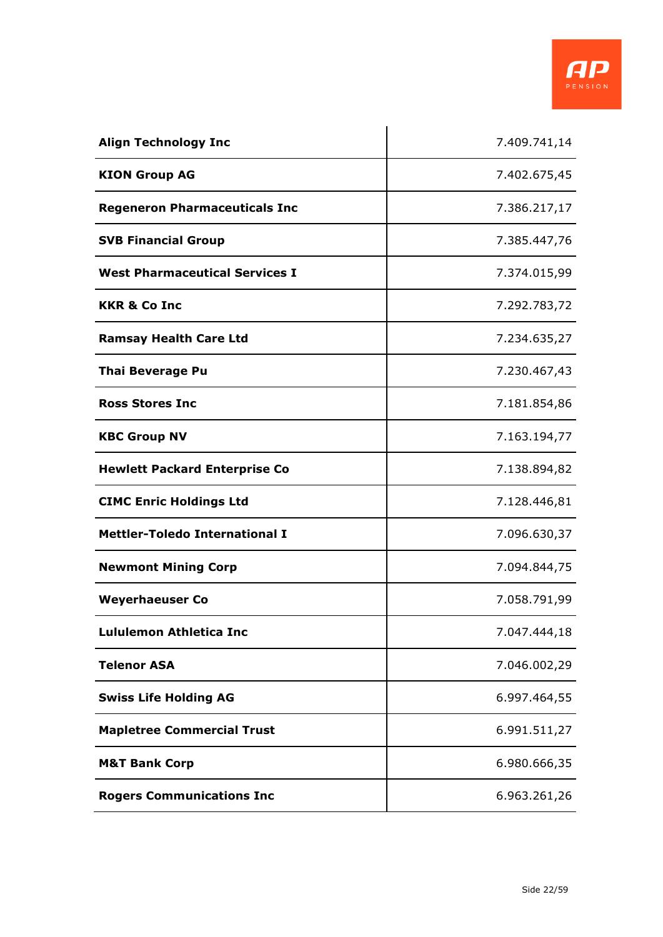

| <b>Align Technology Inc</b>           | 7.409.741,14 |
|---------------------------------------|--------------|
| <b>KION Group AG</b>                  | 7.402.675,45 |
| <b>Regeneron Pharmaceuticals Inc</b>  | 7.386.217,17 |
| <b>SVB Financial Group</b>            | 7.385.447,76 |
| <b>West Pharmaceutical Services I</b> | 7.374.015,99 |
| <b>KKR &amp; Co Inc</b>               | 7.292.783,72 |
| <b>Ramsay Health Care Ltd</b>         | 7.234.635,27 |
| <b>Thai Beverage Pu</b>               | 7.230.467,43 |
| <b>Ross Stores Inc</b>                | 7.181.854,86 |
| <b>KBC Group NV</b>                   | 7.163.194,77 |
| <b>Hewlett Packard Enterprise Co</b>  | 7.138.894,82 |
| <b>CIMC Enric Holdings Ltd</b>        | 7.128.446,81 |
| <b>Mettler-Toledo International I</b> | 7.096.630,37 |
| <b>Newmont Mining Corp</b>            | 7.094.844,75 |
| <b>Weyerhaeuser Co</b>                | 7.058.791,99 |
| <b>Lululemon Athletica Inc</b>        | 7.047.444,18 |
| <b>Telenor ASA</b>                    | 7.046.002,29 |
| <b>Swiss Life Holding AG</b>          | 6.997.464,55 |
| <b>Mapletree Commercial Trust</b>     | 6.991.511,27 |
| <b>M&amp;T Bank Corp</b>              | 6.980.666,35 |
| <b>Rogers Communications Inc</b>      | 6.963.261,26 |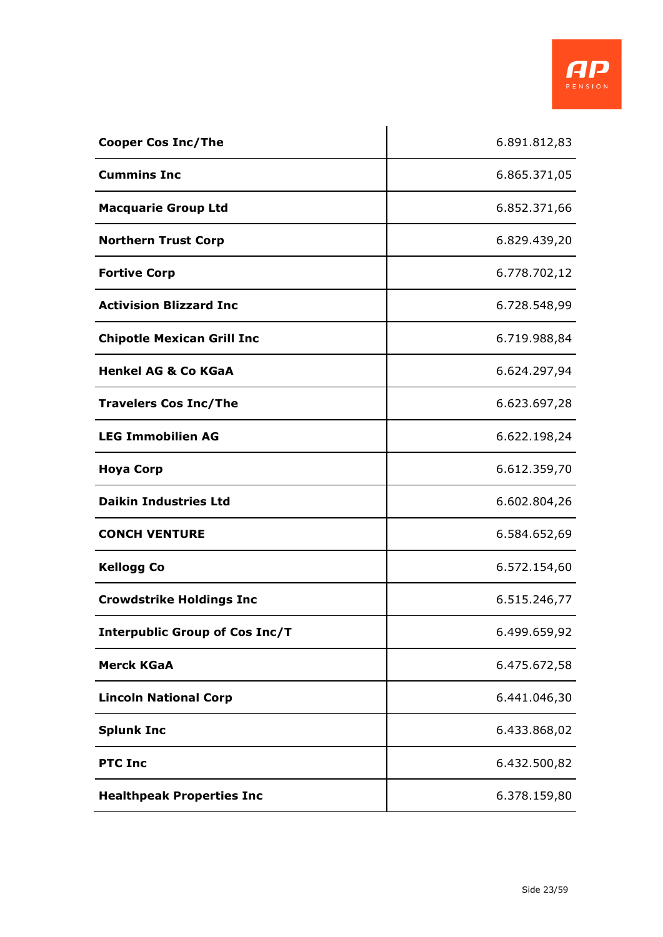

| <b>Cooper Cos Inc/The</b>             | 6.891.812,83 |
|---------------------------------------|--------------|
| <b>Cummins Inc</b>                    | 6.865.371,05 |
| <b>Macquarie Group Ltd</b>            | 6.852.371,66 |
| <b>Northern Trust Corp</b>            | 6.829.439,20 |
| <b>Fortive Corp</b>                   | 6.778.702,12 |
| <b>Activision Blizzard Inc</b>        | 6.728.548,99 |
| <b>Chipotle Mexican Grill Inc</b>     | 6.719.988,84 |
| <b>Henkel AG &amp; Co KGaA</b>        | 6.624.297,94 |
| <b>Travelers Cos Inc/The</b>          | 6.623.697,28 |
| <b>LEG Immobilien AG</b>              | 6.622.198,24 |
| <b>Hoya Corp</b>                      | 6.612.359,70 |
| <b>Daikin Industries Ltd</b>          | 6.602.804,26 |
| <b>CONCH VENTURE</b>                  | 6.584.652,69 |
| <b>Kellogg Co</b>                     | 6.572.154,60 |
| <b>Crowdstrike Holdings Inc</b>       | 6.515.246,77 |
| <b>Interpublic Group of Cos Inc/T</b> | 6.499.659,92 |
| <b>Merck KGaA</b>                     | 6.475.672,58 |
| <b>Lincoln National Corp</b>          | 6.441.046,30 |
| <b>Splunk Inc</b>                     | 6.433.868,02 |
| <b>PTC Inc</b>                        | 6.432.500,82 |
| <b>Healthpeak Properties Inc</b>      | 6.378.159,80 |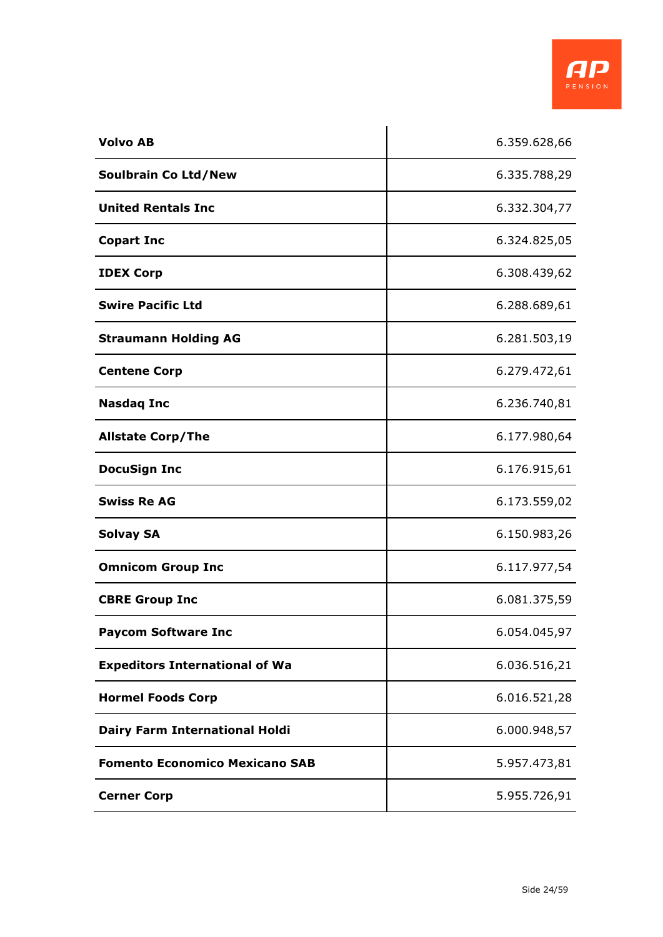

| <b>Volvo AB</b>                       | 6.359.628,66 |
|---------------------------------------|--------------|
| Soulbrain Co Ltd/New                  | 6.335.788,29 |
| <b>United Rentals Inc</b>             | 6.332.304,77 |
| <b>Copart Inc</b>                     | 6.324.825,05 |
| <b>IDEX Corp</b>                      | 6.308.439,62 |
| <b>Swire Pacific Ltd</b>              | 6.288.689,61 |
| <b>Straumann Holding AG</b>           | 6.281.503,19 |
| <b>Centene Corp</b>                   | 6.279.472,61 |
| <b>Nasdaq Inc</b>                     | 6.236.740,81 |
| <b>Allstate Corp/The</b>              | 6.177.980,64 |
| <b>DocuSign Inc</b>                   | 6.176.915,61 |
| <b>Swiss Re AG</b>                    | 6.173.559,02 |
| <b>Solvay SA</b>                      | 6.150.983,26 |
| <b>Omnicom Group Inc</b>              | 6.117.977,54 |
| <b>CBRE Group Inc</b>                 | 6.081.375,59 |
| <b>Paycom Software Inc</b>            | 6.054.045,97 |
| <b>Expeditors International of Wa</b> | 6.036.516,21 |
| <b>Hormel Foods Corp</b>              | 6.016.521,28 |
| <b>Dairy Farm International Holdi</b> | 6.000.948,57 |
| <b>Fomento Economico Mexicano SAB</b> | 5.957.473,81 |
| <b>Cerner Corp</b>                    | 5.955.726,91 |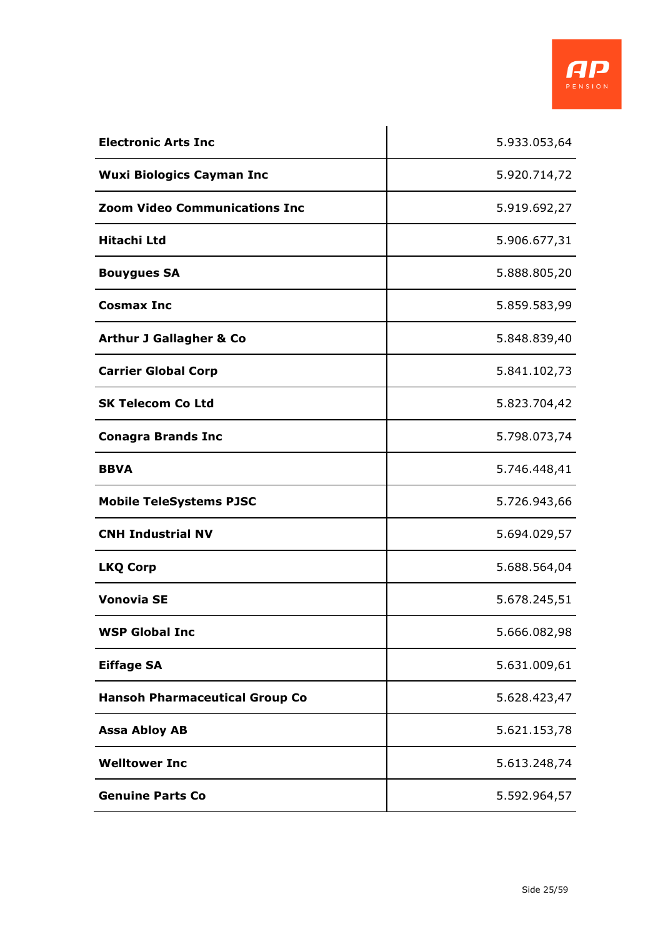

| <b>Electronic Arts Inc</b>            | 5.933.053,64 |
|---------------------------------------|--------------|
| <b>Wuxi Biologics Cayman Inc</b>      | 5.920.714,72 |
| <b>Zoom Video Communications Inc</b>  | 5.919.692,27 |
| Hitachi Ltd                           | 5.906.677,31 |
| <b>Bouygues SA</b>                    | 5.888.805,20 |
| <b>Cosmax Inc</b>                     | 5.859.583,99 |
| <b>Arthur J Gallagher &amp; Co</b>    | 5.848.839,40 |
| <b>Carrier Global Corp</b>            | 5.841.102,73 |
| <b>SK Telecom Co Ltd</b>              | 5.823.704,42 |
| <b>Conagra Brands Inc</b>             | 5.798.073,74 |
| <b>BBVA</b>                           | 5.746.448,41 |
| <b>Mobile TeleSystems PJSC</b>        | 5.726.943,66 |
| <b>CNH Industrial NV</b>              | 5.694.029,57 |
| <b>LKQ Corp</b>                       | 5.688.564,04 |
| <b>Vonovia SE</b>                     | 5.678.245,51 |
| <b>WSP Global Inc</b>                 | 5.666.082,98 |
| <b>Eiffage SA</b>                     | 5.631.009,61 |
| <b>Hansoh Pharmaceutical Group Co</b> | 5.628.423,47 |
| <b>Assa Abloy AB</b>                  | 5.621.153,78 |
| <b>Welltower Inc</b>                  | 5.613.248,74 |
| <b>Genuine Parts Co</b>               | 5.592.964,57 |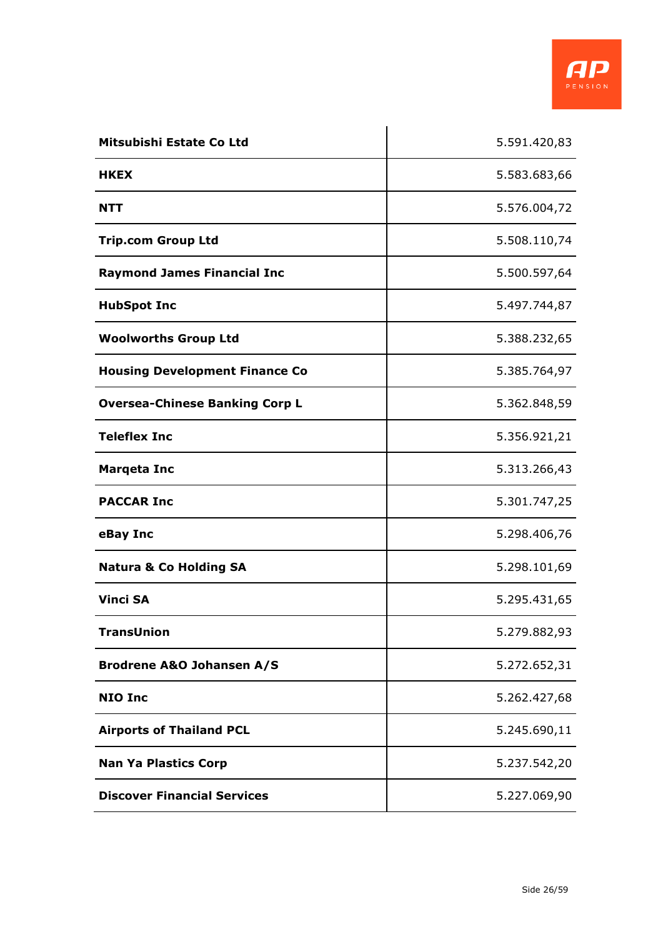

| Mitsubishi Estate Co Ltd              | 5.591.420,83 |
|---------------------------------------|--------------|
| <b>HKEX</b>                           | 5.583.683,66 |
| NTT                                   | 5.576.004,72 |
| <b>Trip.com Group Ltd</b>             | 5.508.110,74 |
| <b>Raymond James Financial Inc</b>    | 5.500.597,64 |
| <b>HubSpot Inc</b>                    | 5.497.744,87 |
| <b>Woolworths Group Ltd</b>           | 5.388.232,65 |
| <b>Housing Development Finance Co</b> | 5.385.764,97 |
| <b>Oversea-Chinese Banking Corp L</b> | 5.362.848,59 |
| <b>Teleflex Inc</b>                   | 5.356.921,21 |
| <b>Marqeta Inc</b>                    | 5.313.266,43 |
| <b>PACCAR Inc</b>                     | 5.301.747,25 |
| eBay Inc                              | 5.298.406,76 |
| <b>Natura &amp; Co Holding SA</b>     | 5.298.101,69 |
| <b>Vinci SA</b>                       | 5.295.431,65 |
| <b>TransUnion</b>                     | 5.279.882,93 |
| <b>Brodrene A&amp;O Johansen A/S</b>  | 5.272.652,31 |
| <b>NIO Inc</b>                        | 5.262.427,68 |
| <b>Airports of Thailand PCL</b>       | 5.245.690,11 |
| <b>Nan Ya Plastics Corp</b>           | 5.237.542,20 |
| <b>Discover Financial Services</b>    | 5.227.069,90 |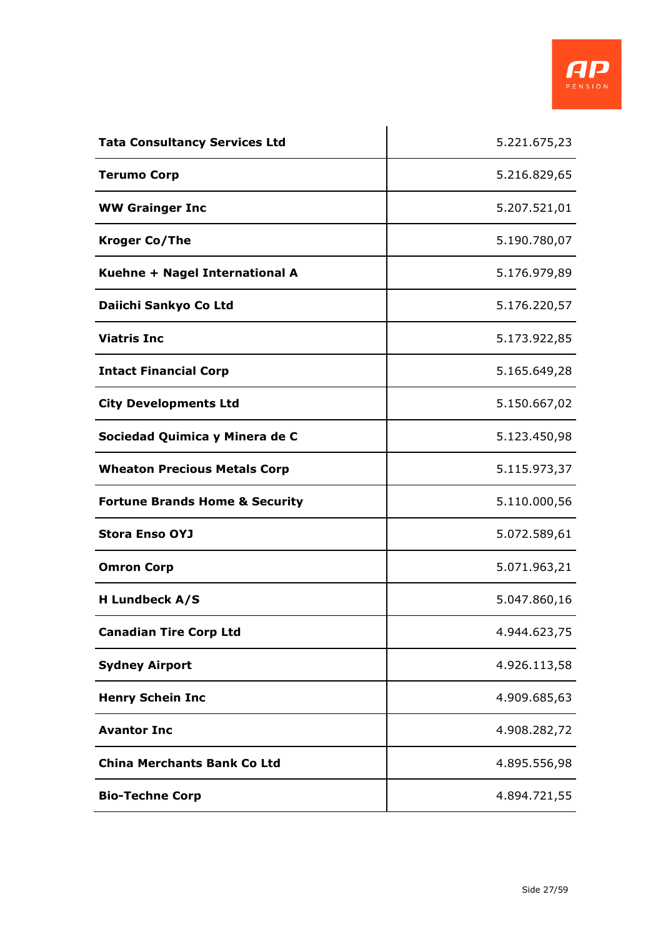

| <b>Tata Consultancy Services Ltd</b>      | 5.221.675,23 |
|-------------------------------------------|--------------|
| <b>Terumo Corp</b>                        | 5.216.829,65 |
| <b>WW Grainger Inc</b>                    | 5.207.521,01 |
| <b>Kroger Co/The</b>                      | 5.190.780,07 |
| Kuehne + Nagel International A            | 5.176.979,89 |
| Daiichi Sankyo Co Ltd                     | 5.176.220,57 |
| <b>Viatris Inc</b>                        | 5.173.922,85 |
| <b>Intact Financial Corp</b>              | 5.165.649,28 |
| <b>City Developments Ltd</b>              | 5.150.667,02 |
| Sociedad Quimica y Minera de C            | 5.123.450,98 |
| <b>Wheaton Precious Metals Corp</b>       | 5.115.973,37 |
| <b>Fortune Brands Home &amp; Security</b> | 5.110.000,56 |
| <b>Stora Enso OYJ</b>                     | 5.072.589,61 |
| <b>Omron Corp</b>                         | 5.071.963,21 |
| <b>H Lundbeck A/S</b>                     | 5.047.860,16 |
| <b>Canadian Tire Corp Ltd</b>             | 4.944.623,75 |
| <b>Sydney Airport</b>                     | 4.926.113,58 |
| <b>Henry Schein Inc</b>                   | 4.909.685,63 |
| <b>Avantor Inc</b>                        | 4.908.282,72 |
| <b>China Merchants Bank Co Ltd</b>        | 4.895.556,98 |
| <b>Bio-Techne Corp</b>                    | 4.894.721,55 |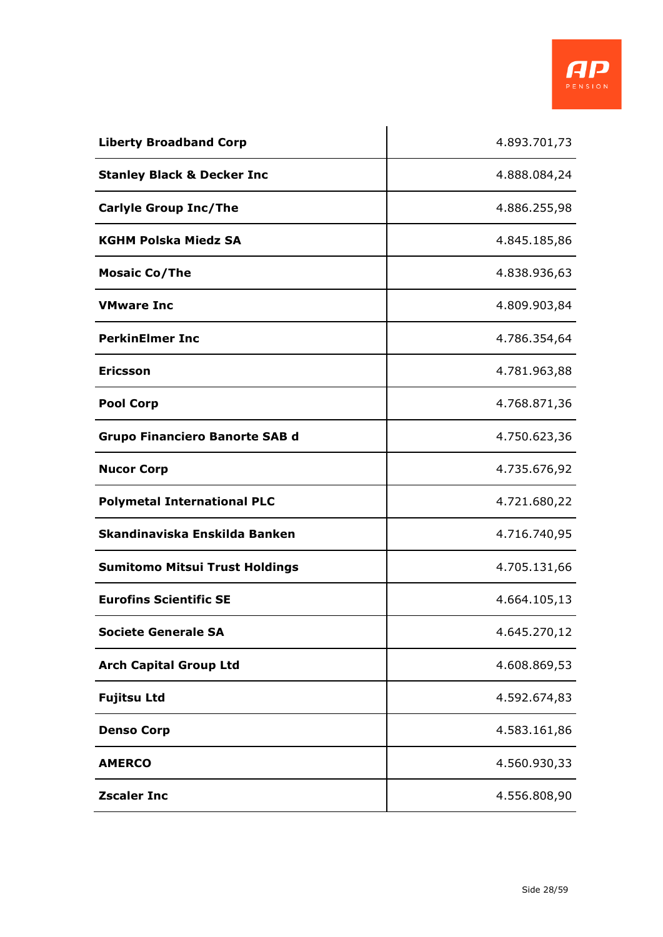

| <b>Liberty Broadband Corp</b>         | 4.893.701,73 |
|---------------------------------------|--------------|
| <b>Stanley Black &amp; Decker Inc</b> | 4.888.084,24 |
| <b>Carlyle Group Inc/The</b>          | 4.886.255,98 |
| <b>KGHM Polska Miedz SA</b>           | 4.845.185,86 |
| <b>Mosaic Co/The</b>                  | 4.838.936,63 |
| <b>VMware Inc</b>                     | 4.809.903,84 |
| <b>PerkinElmer Inc</b>                | 4.786.354,64 |
| <b>Ericsson</b>                       | 4.781.963,88 |
| <b>Pool Corp</b>                      | 4.768.871,36 |
| <b>Grupo Financiero Banorte SAB d</b> | 4.750.623,36 |
| <b>Nucor Corp</b>                     | 4.735.676,92 |
| <b>Polymetal International PLC</b>    | 4.721.680,22 |
| Skandinaviska Enskilda Banken         | 4.716.740,95 |
| <b>Sumitomo Mitsui Trust Holdings</b> | 4.705.131,66 |
| <b>Eurofins Scientific SE</b>         | 4.664.105,13 |
| <b>Societe Generale SA</b>            | 4.645.270,12 |
| <b>Arch Capital Group Ltd</b>         | 4.608.869,53 |
| <b>Fujitsu Ltd</b>                    | 4.592.674,83 |
| <b>Denso Corp</b>                     | 4.583.161,86 |
| <b>AMERCO</b>                         | 4.560.930,33 |
| <b>Zscaler Inc</b>                    | 4.556.808,90 |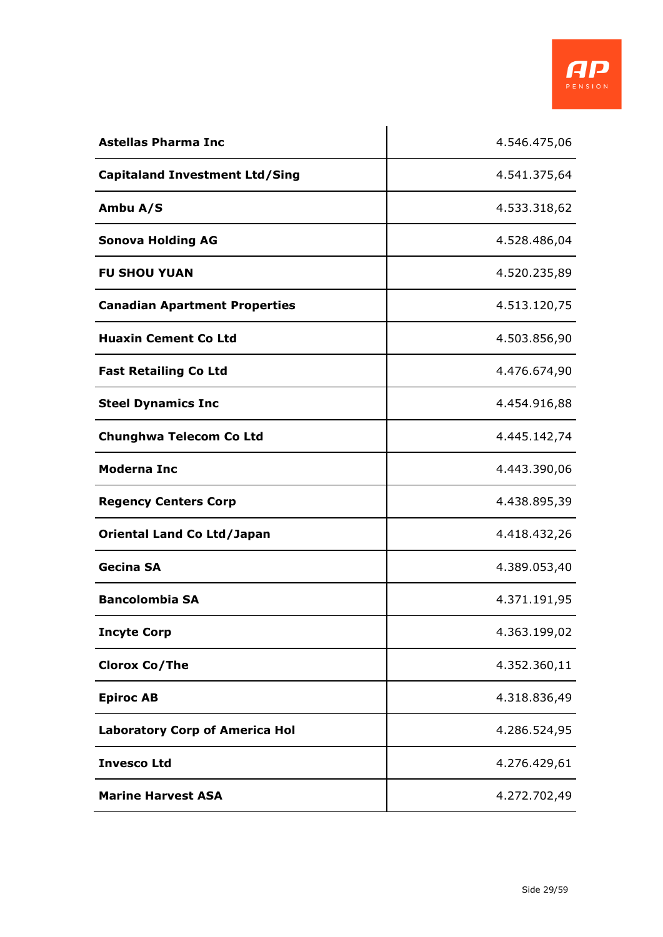

| <b>Astellas Pharma Inc</b>            | 4.546.475,06 |
|---------------------------------------|--------------|
| <b>Capitaland Investment Ltd/Sing</b> | 4.541.375,64 |
| Ambu A/S                              | 4.533.318,62 |
| <b>Sonova Holding AG</b>              | 4.528.486,04 |
| <b>FU SHOU YUAN</b>                   | 4.520.235,89 |
| <b>Canadian Apartment Properties</b>  | 4.513.120,75 |
| <b>Huaxin Cement Co Ltd</b>           | 4.503.856,90 |
| <b>Fast Retailing Co Ltd</b>          | 4.476.674,90 |
| <b>Steel Dynamics Inc</b>             | 4.454.916,88 |
| <b>Chunghwa Telecom Co Ltd</b>        | 4.445.142,74 |
| <b>Moderna Inc</b>                    | 4.443.390,06 |
| <b>Regency Centers Corp</b>           | 4.438.895,39 |
| <b>Oriental Land Co Ltd/Japan</b>     | 4.418.432,26 |
| <b>Gecina SA</b>                      | 4.389.053,40 |
| <b>Bancolombia SA</b>                 | 4.371.191,95 |
| <b>Incyte Corp</b>                    | 4.363.199,02 |
| <b>Clorox Co/The</b>                  | 4.352.360,11 |
| <b>Epiroc AB</b>                      | 4.318.836,49 |
| <b>Laboratory Corp of America Hol</b> | 4.286.524,95 |
| <b>Invesco Ltd</b>                    | 4.276.429,61 |
| <b>Marine Harvest ASA</b>             | 4.272.702,49 |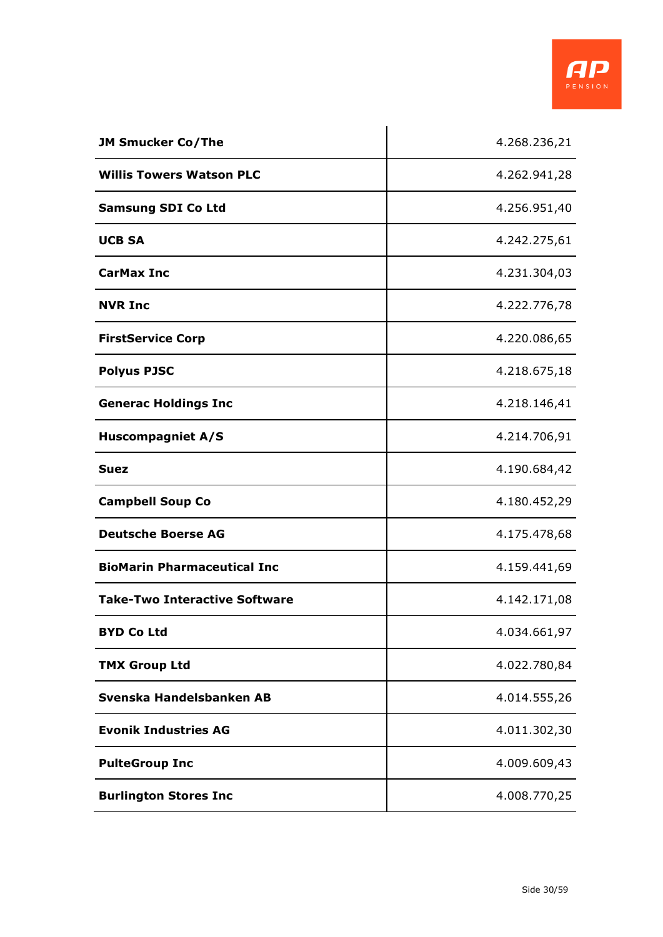

| <b>JM Smucker Co/The</b>             | 4.268.236,21 |
|--------------------------------------|--------------|
| <b>Willis Towers Watson PLC</b>      | 4.262.941,28 |
| <b>Samsung SDI Co Ltd</b>            | 4.256.951,40 |
| <b>UCB SA</b>                        | 4.242.275,61 |
| <b>CarMax Inc</b>                    | 4.231.304,03 |
| <b>NVR Inc</b>                       | 4.222.776,78 |
| <b>FirstService Corp</b>             | 4.220.086,65 |
| <b>Polyus PJSC</b>                   | 4.218.675,18 |
| <b>Generac Holdings Inc</b>          | 4.218.146,41 |
| <b>Huscompagniet A/S</b>             | 4.214.706,91 |
| <b>Suez</b>                          | 4.190.684,42 |
| <b>Campbell Soup Co</b>              | 4.180.452,29 |
| <b>Deutsche Boerse AG</b>            | 4.175.478,68 |
| <b>BioMarin Pharmaceutical Inc</b>   | 4.159.441,69 |
| <b>Take-Two Interactive Software</b> | 4.142.171,08 |
| <b>BYD Co Ltd</b>                    | 4.034.661,97 |
| <b>TMX Group Ltd</b>                 | 4.022.780,84 |
| Svenska Handelsbanken AB             | 4.014.555,26 |
| <b>Evonik Industries AG</b>          | 4.011.302,30 |
| <b>PulteGroup Inc</b>                | 4.009.609,43 |
| <b>Burlington Stores Inc</b>         | 4.008.770,25 |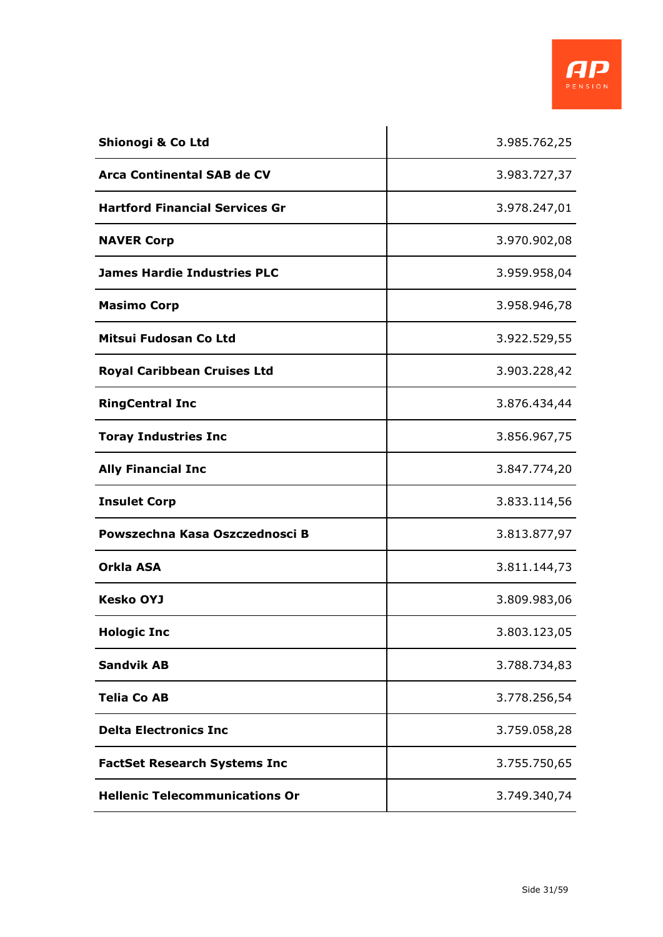

| Shionogi & Co Ltd                     | 3.985.762,25 |
|---------------------------------------|--------------|
| Arca Continental SAB de CV            | 3.983.727,37 |
| <b>Hartford Financial Services Gr</b> | 3.978.247,01 |
| <b>NAVER Corp</b>                     | 3.970.902,08 |
| <b>James Hardie Industries PLC</b>    | 3.959.958,04 |
| <b>Masimo Corp</b>                    | 3.958.946,78 |
| Mitsui Fudosan Co Ltd                 | 3.922.529,55 |
| <b>Royal Caribbean Cruises Ltd</b>    | 3.903.228,42 |
| <b>RingCentral Inc</b>                | 3.876.434,44 |
| <b>Toray Industries Inc</b>           | 3.856.967,75 |
| <b>Ally Financial Inc</b>             | 3.847.774,20 |
| <b>Insulet Corp</b>                   | 3.833.114,56 |
| Powszechna Kasa Oszczednosci B        | 3.813.877,97 |
| Orkla ASA                             | 3.811.144,73 |
| <b>Kesko OYJ</b>                      | 3.809.983,06 |
| <b>Hologic Inc</b>                    | 3.803.123,05 |
| <b>Sandvik AB</b>                     | 3.788.734,83 |
| <b>Telia Co AB</b>                    | 3.778.256,54 |
| <b>Delta Electronics Inc</b>          | 3.759.058,28 |
| <b>FactSet Research Systems Inc</b>   | 3.755.750,65 |
| <b>Hellenic Telecommunications Or</b> | 3.749.340,74 |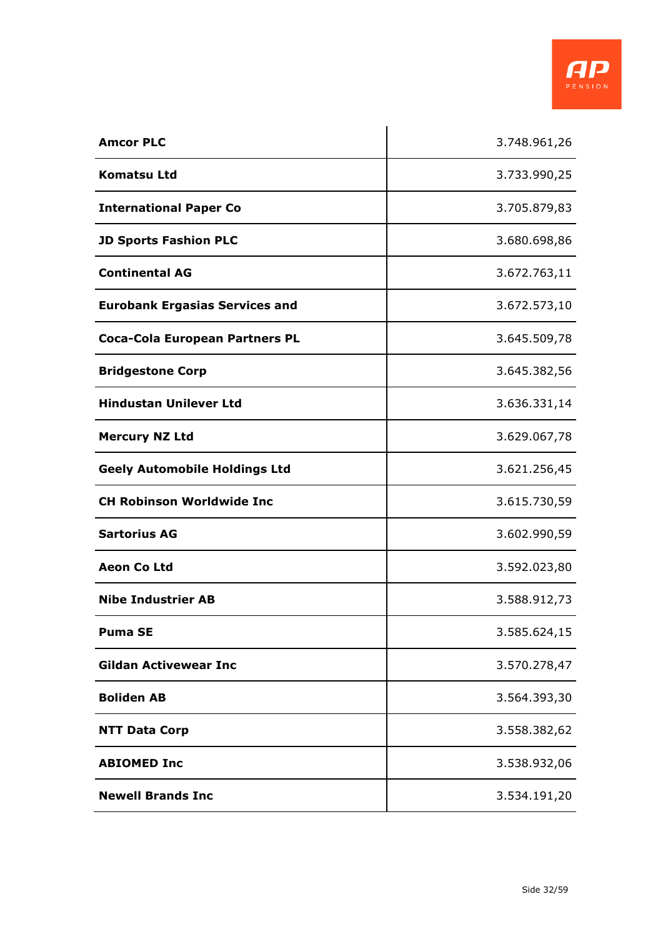

| <b>Amcor PLC</b>                      | 3.748.961,26 |
|---------------------------------------|--------------|
| Komatsu Ltd                           | 3.733.990,25 |
| <b>International Paper Co</b>         | 3.705.879,83 |
| <b>JD Sports Fashion PLC</b>          | 3.680.698,86 |
| <b>Continental AG</b>                 | 3.672.763,11 |
| <b>Eurobank Ergasias Services and</b> | 3.672.573,10 |
| <b>Coca-Cola European Partners PL</b> | 3.645.509,78 |
| <b>Bridgestone Corp</b>               | 3.645.382,56 |
| <b>Hindustan Unilever Ltd</b>         | 3.636.331,14 |
| <b>Mercury NZ Ltd</b>                 | 3.629.067,78 |
| <b>Geely Automobile Holdings Ltd</b>  | 3.621.256,45 |
| <b>CH Robinson Worldwide Inc</b>      | 3.615.730,59 |
| <b>Sartorius AG</b>                   | 3.602.990,59 |
| <b>Aeon Co Ltd</b>                    | 3.592.023,80 |
| <b>Nibe Industrier AB</b>             | 3.588.912,73 |
| <b>Puma SE</b>                        | 3.585.624,15 |
| <b>Gildan Activewear Inc</b>          | 3.570.278,47 |
| <b>Boliden AB</b>                     | 3.564.393,30 |
| <b>NTT Data Corp</b>                  | 3.558.382,62 |
| <b>ABIOMED Inc</b>                    | 3.538.932,06 |
| <b>Newell Brands Inc</b>              | 3.534.191,20 |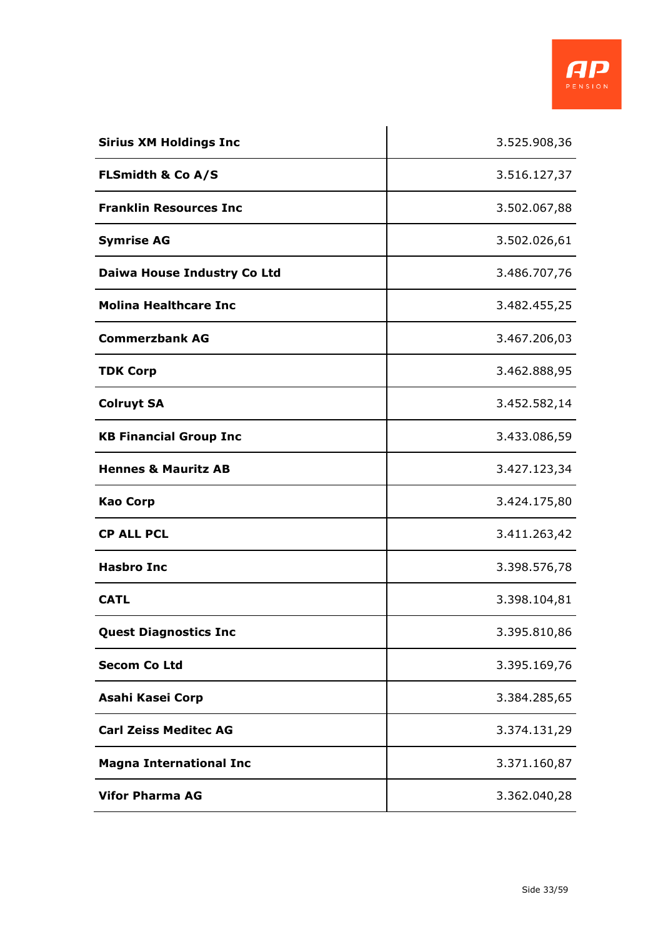

| <b>Sirius XM Holdings Inc</b>  | 3.525.908,36 |
|--------------------------------|--------------|
| <b>FLSmidth &amp; Co A/S</b>   | 3.516.127,37 |
| <b>Franklin Resources Inc</b>  | 3.502.067,88 |
| <b>Symrise AG</b>              | 3.502.026,61 |
| Daiwa House Industry Co Ltd    | 3.486.707,76 |
| <b>Molina Healthcare Inc</b>   | 3.482.455,25 |
| <b>Commerzbank AG</b>          | 3.467.206,03 |
| <b>TDK Corp</b>                | 3.462.888,95 |
| <b>Colruyt SA</b>              | 3.452.582,14 |
| <b>KB Financial Group Inc</b>  | 3.433.086,59 |
| <b>Hennes &amp; Mauritz AB</b> | 3.427.123,34 |
| <b>Kao Corp</b>                | 3.424.175,80 |
| <b>CP ALL PCL</b>              | 3.411.263,42 |
| <b>Hasbro Inc</b>              | 3.398.576,78 |
| <b>CATL</b>                    | 3.398.104,81 |
| <b>Quest Diagnostics Inc</b>   | 3.395.810,86 |
| <b>Secom Co Ltd</b>            | 3.395.169,76 |
| Asahi Kasei Corp               | 3.384.285,65 |
| <b>Carl Zeiss Meditec AG</b>   | 3.374.131,29 |
| <b>Magna International Inc</b> | 3.371.160,87 |
| <b>Vifor Pharma AG</b>         | 3.362.040,28 |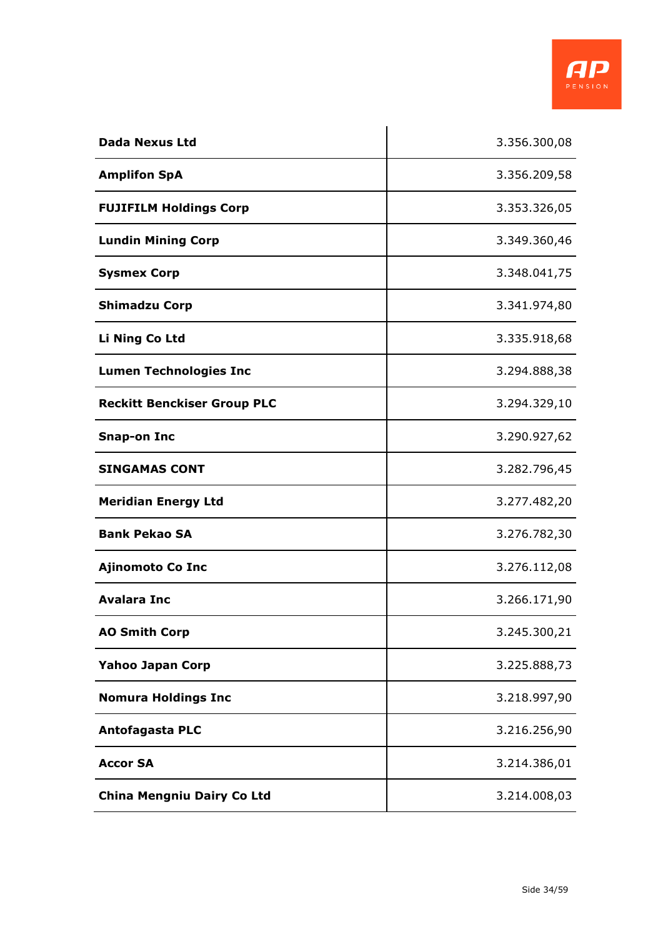

| <b>Dada Nexus Ltd</b>              | 3.356.300,08 |
|------------------------------------|--------------|
| <b>Amplifon SpA</b>                | 3.356.209,58 |
| <b>FUJIFILM Holdings Corp</b>      | 3.353.326,05 |
| <b>Lundin Mining Corp</b>          | 3.349.360,46 |
| <b>Sysmex Corp</b>                 | 3.348.041,75 |
| <b>Shimadzu Corp</b>               | 3.341.974,80 |
| Li Ning Co Ltd                     | 3.335.918,68 |
| <b>Lumen Technologies Inc</b>      | 3.294.888,38 |
| <b>Reckitt Benckiser Group PLC</b> | 3.294.329,10 |
| <b>Snap-on Inc</b>                 | 3.290.927,62 |
| <b>SINGAMAS CONT</b>               | 3.282.796,45 |
| <b>Meridian Energy Ltd</b>         | 3.277.482,20 |
| <b>Bank Pekao SA</b>               | 3.276.782,30 |
| <b>Ajinomoto Co Inc</b>            | 3.276.112,08 |
| <b>Avalara Inc</b>                 | 3.266.171,90 |
| <b>AO Smith Corp</b>               | 3.245.300,21 |
| <b>Yahoo Japan Corp</b>            | 3.225.888,73 |
| <b>Nomura Holdings Inc</b>         | 3.218.997,90 |
| <b>Antofagasta PLC</b>             | 3.216.256,90 |
| <b>Accor SA</b>                    | 3.214.386,01 |
| <b>China Mengniu Dairy Co Ltd</b>  | 3.214.008,03 |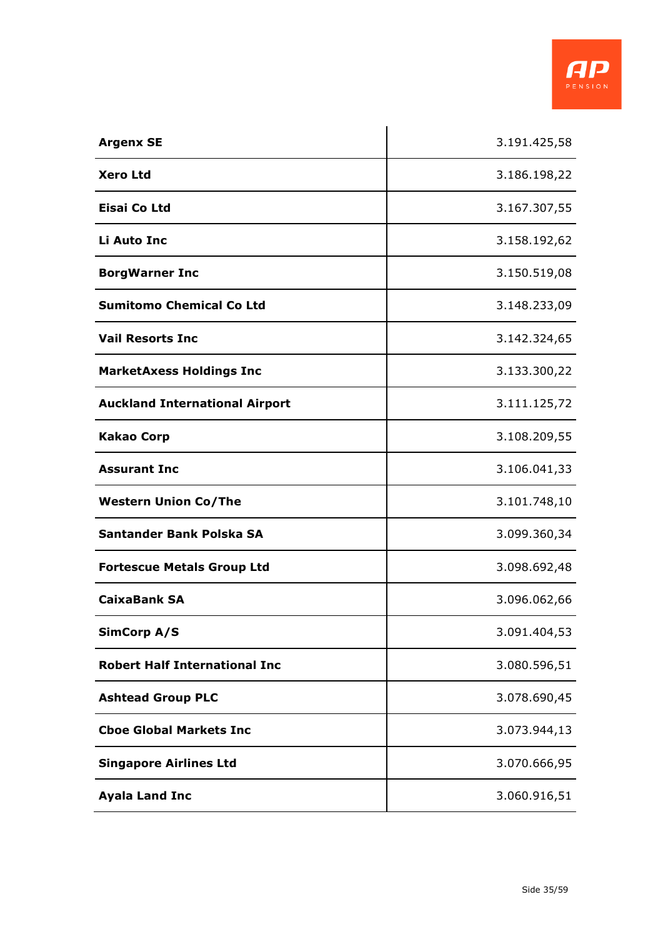

| <b>Argenx SE</b>                      | 3.191.425,58 |
|---------------------------------------|--------------|
| <b>Xero Ltd</b>                       | 3.186.198,22 |
| <b>Eisai Co Ltd</b>                   | 3.167.307,55 |
| Li Auto Inc                           | 3.158.192,62 |
| <b>BorgWarner Inc</b>                 | 3.150.519,08 |
| <b>Sumitomo Chemical Co Ltd</b>       | 3.148.233,09 |
| <b>Vail Resorts Inc</b>               | 3.142.324,65 |
| <b>MarketAxess Holdings Inc</b>       | 3.133.300,22 |
| <b>Auckland International Airport</b> | 3.111.125,72 |
| <b>Kakao Corp</b>                     | 3.108.209,55 |
| <b>Assurant Inc</b>                   | 3.106.041,33 |
| <b>Western Union Co/The</b>           | 3.101.748,10 |
| Santander Bank Polska SA              | 3.099.360,34 |
| <b>Fortescue Metals Group Ltd</b>     | 3.098.692,48 |
| <b>CaixaBank SA</b>                   | 3.096.062,66 |
| <b>SimCorp A/S</b>                    | 3.091.404,53 |
| <b>Robert Half International Inc</b>  | 3.080.596,51 |
| <b>Ashtead Group PLC</b>              | 3.078.690,45 |
| <b>Cboe Global Markets Inc</b>        | 3.073.944,13 |
| <b>Singapore Airlines Ltd</b>         | 3.070.666,95 |
| <b>Ayala Land Inc</b>                 | 3.060.916,51 |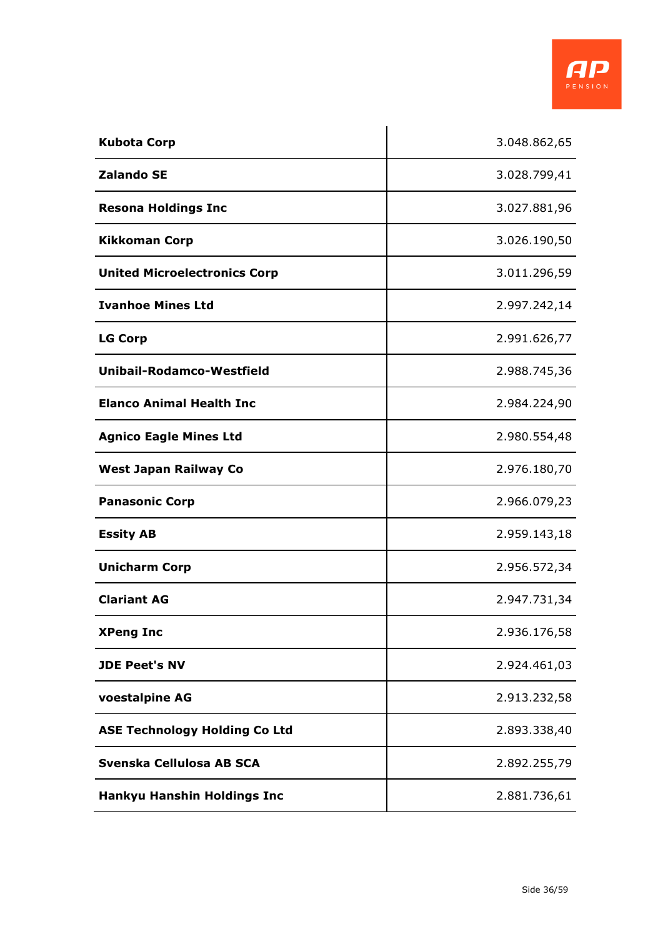

| <b>Kubota Corp</b>                   | 3.048.862,65 |
|--------------------------------------|--------------|
| <b>Zalando SE</b>                    | 3.028.799,41 |
| <b>Resona Holdings Inc</b>           | 3.027.881,96 |
| <b>Kikkoman Corp</b>                 | 3.026.190,50 |
| <b>United Microelectronics Corp</b>  | 3.011.296,59 |
| <b>Ivanhoe Mines Ltd</b>             | 2.997.242,14 |
| <b>LG Corp</b>                       | 2.991.626,77 |
| <b>Unibail-Rodamco-Westfield</b>     | 2.988.745,36 |
| <b>Elanco Animal Health Inc</b>      | 2.984.224,90 |
| <b>Agnico Eagle Mines Ltd</b>        | 2.980.554,48 |
| <b>West Japan Railway Co</b>         | 2.976.180,70 |
| <b>Panasonic Corp</b>                | 2.966.079,23 |
| <b>Essity AB</b>                     | 2.959.143,18 |
| <b>Unicharm Corp</b>                 | 2.956.572,34 |
| <b>Clariant AG</b>                   | 2.947.731,34 |
| <b>XPeng Inc</b>                     | 2.936.176,58 |
| <b>JDE Peet's NV</b>                 | 2.924.461,03 |
| voestalpine AG                       | 2.913.232,58 |
| <b>ASE Technology Holding Co Ltd</b> | 2.893.338,40 |
| Svenska Cellulosa AB SCA             | 2.892.255,79 |
| <b>Hankyu Hanshin Holdings Inc</b>   | 2.881.736,61 |

 $\ddot{\phantom{a}}$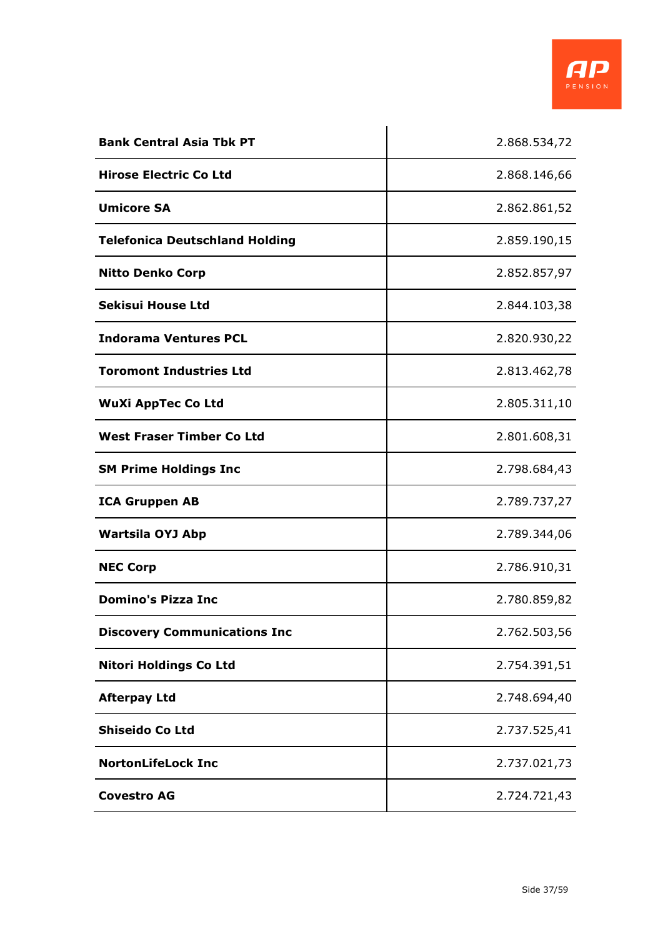

| <b>Bank Central Asia Tbk PT</b>       | 2.868.534,72 |
|---------------------------------------|--------------|
| <b>Hirose Electric Co Ltd</b>         | 2.868.146,66 |
| <b>Umicore SA</b>                     | 2.862.861,52 |
| <b>Telefonica Deutschland Holding</b> | 2.859.190,15 |
| <b>Nitto Denko Corp</b>               | 2.852.857,97 |
| Sekisui House Ltd                     | 2.844.103,38 |
| <b>Indorama Ventures PCL</b>          | 2.820.930,22 |
| <b>Toromont Industries Ltd</b>        | 2.813.462,78 |
| <b>WuXi AppTec Co Ltd</b>             | 2.805.311,10 |
| <b>West Fraser Timber Co Ltd</b>      | 2.801.608,31 |
| <b>SM Prime Holdings Inc</b>          | 2.798.684,43 |
| <b>ICA Gruppen AB</b>                 | 2.789.737,27 |
| <b>Wartsila OYJ Abp</b>               | 2.789.344,06 |
| <b>NEC Corp</b>                       | 2.786.910,31 |
| <b>Domino's Pizza Inc</b>             | 2.780.859,82 |
| <b>Discovery Communications Inc</b>   | 2.762.503,56 |
| <b>Nitori Holdings Co Ltd</b>         | 2.754.391,51 |
| <b>Afterpay Ltd</b>                   | 2.748.694,40 |
| <b>Shiseido Co Ltd</b>                | 2.737.525,41 |
| <b>NortonLifeLock Inc</b>             | 2.737.021,73 |
| <b>Covestro AG</b>                    | 2.724.721,43 |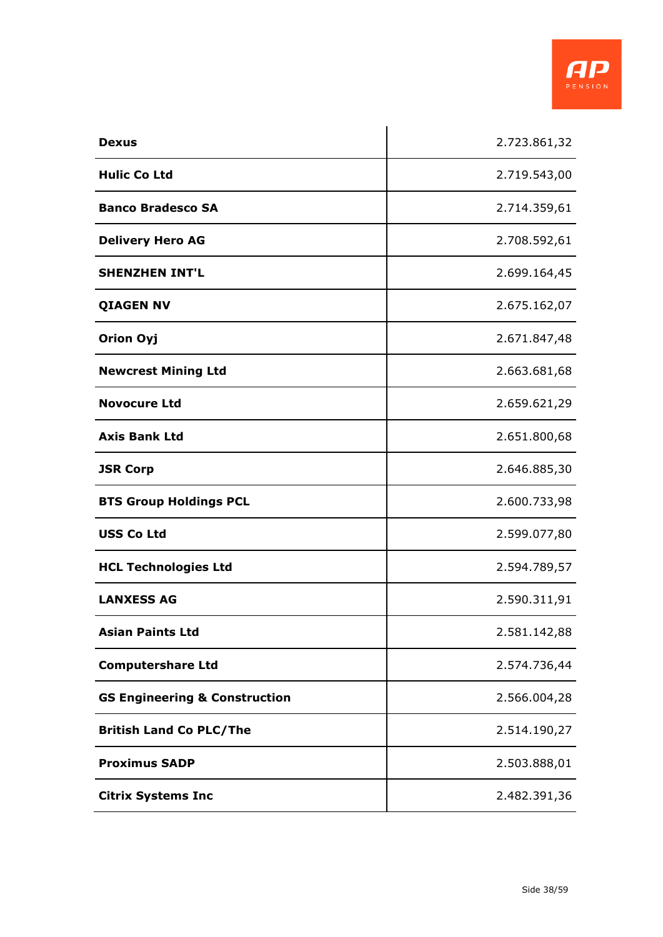

| <b>Dexus</b>                             | 2.723.861,32 |
|------------------------------------------|--------------|
| <b>Hulic Co Ltd</b>                      | 2.719.543,00 |
| <b>Banco Bradesco SA</b>                 | 2.714.359,61 |
| <b>Delivery Hero AG</b>                  | 2.708.592,61 |
| <b>SHENZHEN INT'L</b>                    | 2.699.164,45 |
| <b>QIAGEN NV</b>                         | 2.675.162,07 |
| <b>Orion Oyj</b>                         | 2.671.847,48 |
| <b>Newcrest Mining Ltd</b>               | 2.663.681,68 |
| <b>Novocure Ltd</b>                      | 2.659.621,29 |
| <b>Axis Bank Ltd</b>                     | 2.651.800,68 |
| <b>JSR Corp</b>                          | 2.646.885,30 |
| <b>BTS Group Holdings PCL</b>            | 2.600.733,98 |
| <b>USS Co Ltd</b>                        | 2.599.077,80 |
| <b>HCL Technologies Ltd</b>              | 2.594.789,57 |
| <b>LANXESS AG</b>                        | 2.590.311,91 |
| <b>Asian Paints Ltd</b>                  | 2.581.142,88 |
| <b>Computershare Ltd</b>                 | 2.574.736,44 |
| <b>GS Engineering &amp; Construction</b> | 2.566.004,28 |
| <b>British Land Co PLC/The</b>           | 2.514.190,27 |
| <b>Proximus SADP</b>                     | 2.503.888,01 |
| <b>Citrix Systems Inc</b>                | 2.482.391,36 |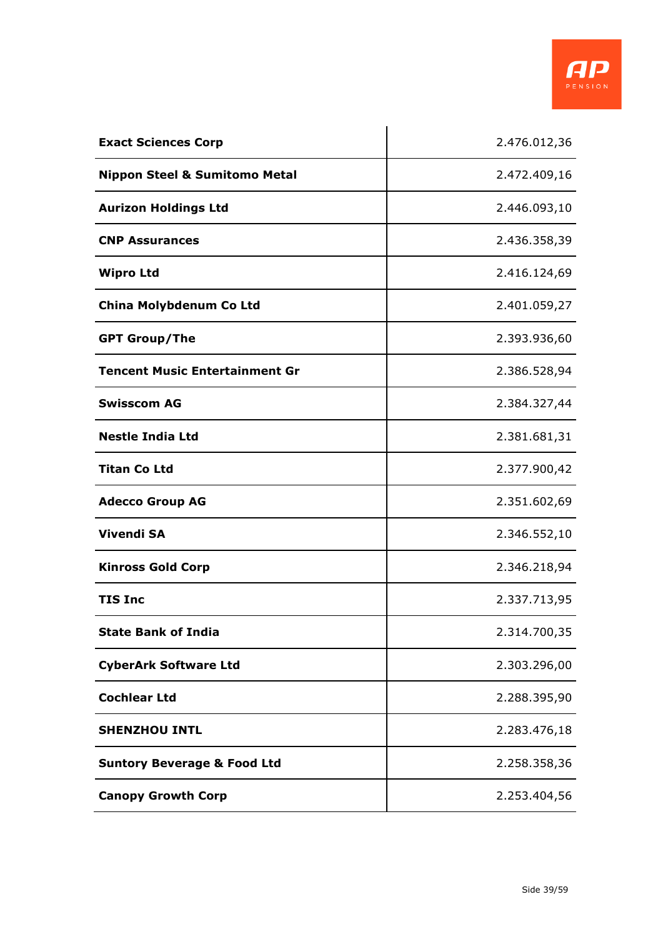

| <b>Exact Sciences Corp</b>               | 2.476.012,36 |
|------------------------------------------|--------------|
| <b>Nippon Steel &amp; Sumitomo Metal</b> | 2.472.409,16 |
| <b>Aurizon Holdings Ltd</b>              | 2.446.093,10 |
| <b>CNP Assurances</b>                    | 2.436.358,39 |
| <b>Wipro Ltd</b>                         | 2.416.124,69 |
| China Molybdenum Co Ltd                  | 2.401.059,27 |
| <b>GPT Group/The</b>                     | 2.393.936,60 |
| <b>Tencent Music Entertainment Gr</b>    | 2.386.528,94 |
| <b>Swisscom AG</b>                       | 2.384.327,44 |
| <b>Nestle India Ltd</b>                  | 2.381.681,31 |
| <b>Titan Co Ltd</b>                      | 2.377.900,42 |
| <b>Adecco Group AG</b>                   | 2.351.602,69 |
| <b>Vivendi SA</b>                        | 2.346.552,10 |
| <b>Kinross Gold Corp</b>                 | 2.346.218,94 |
| <b>TIS Inc</b>                           | 2.337.713,95 |
| <b>State Bank of India</b>               | 2.314.700,35 |
| <b>CyberArk Software Ltd</b>             | 2.303.296,00 |
| <b>Cochlear Ltd</b>                      | 2.288.395,90 |
| <b>SHENZHOU INTL</b>                     | 2.283.476,18 |
| <b>Suntory Beverage &amp; Food Ltd</b>   | 2.258.358,36 |
| <b>Canopy Growth Corp</b>                | 2.253.404,56 |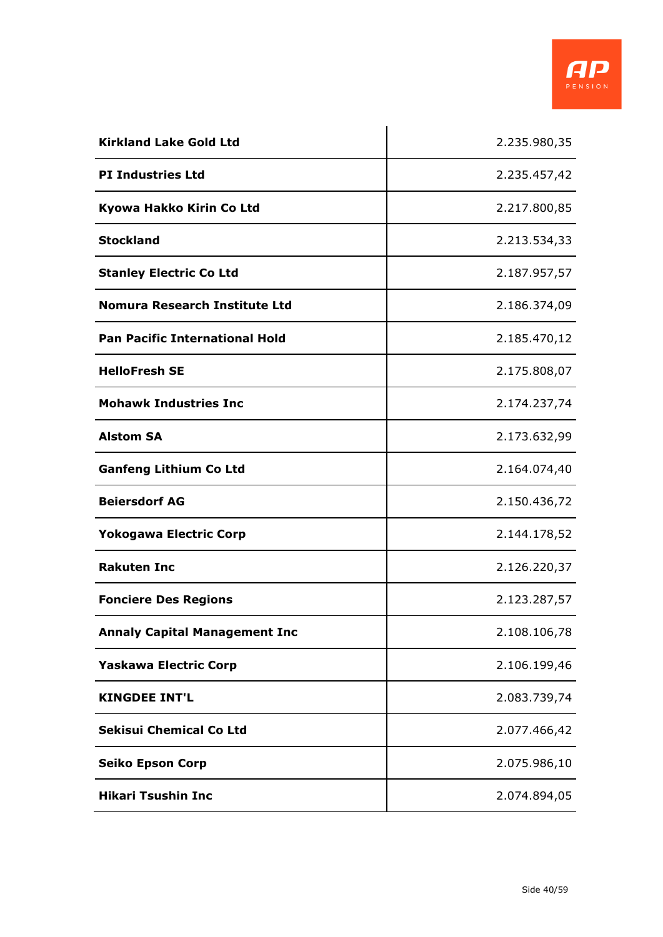

| <b>Kirkland Lake Gold Ltd</b>         | 2.235.980,35 |
|---------------------------------------|--------------|
| <b>PI Industries Ltd</b>              | 2.235.457,42 |
| Kyowa Hakko Kirin Co Ltd              | 2.217.800,85 |
| <b>Stockland</b>                      | 2.213.534,33 |
| <b>Stanley Electric Co Ltd</b>        | 2.187.957,57 |
| Nomura Research Institute Ltd         | 2.186.374,09 |
| <b>Pan Pacific International Hold</b> | 2.185.470,12 |
| <b>HelloFresh SE</b>                  | 2.175.808,07 |
| <b>Mohawk Industries Inc</b>          | 2.174.237,74 |
| <b>Alstom SA</b>                      | 2.173.632,99 |
| <b>Ganfeng Lithium Co Ltd</b>         | 2.164.074,40 |
| <b>Beiersdorf AG</b>                  | 2.150.436,72 |
| <b>Yokogawa Electric Corp</b>         | 2.144.178,52 |
| <b>Rakuten Inc</b>                    | 2.126.220,37 |
| <b>Fonciere Des Regions</b>           | 2.123.287,57 |
| <b>Annaly Capital Management Inc</b>  | 2.108.106,78 |
| <b>Yaskawa Electric Corp</b>          | 2.106.199,46 |
| <b>KINGDEE INT'L</b>                  | 2.083.739,74 |
| <b>Sekisui Chemical Co Ltd</b>        | 2.077.466,42 |
| <b>Seiko Epson Corp</b>               | 2.075.986,10 |
| <b>Hikari Tsushin Inc</b>             | 2.074.894,05 |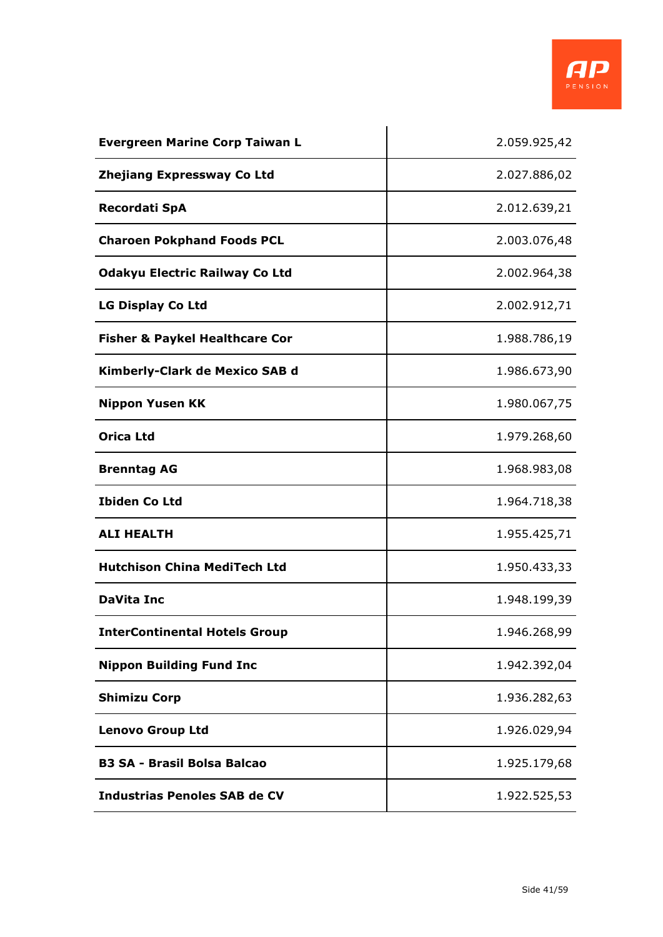

| <b>Evergreen Marine Corp Taiwan L</b>     | 2.059.925,42 |
|-------------------------------------------|--------------|
| <b>Zhejiang Expressway Co Ltd</b>         | 2.027.886,02 |
| <b>Recordati SpA</b>                      | 2.012.639,21 |
| <b>Charoen Pokphand Foods PCL</b>         | 2.003.076,48 |
| <b>Odakyu Electric Railway Co Ltd</b>     | 2.002.964,38 |
| <b>LG Display Co Ltd</b>                  | 2.002.912,71 |
| <b>Fisher &amp; Paykel Healthcare Cor</b> | 1.988.786,19 |
| Kimberly-Clark de Mexico SAB d            | 1.986.673,90 |
| <b>Nippon Yusen KK</b>                    | 1.980.067,75 |
| <b>Orica Ltd</b>                          | 1.979.268,60 |
| <b>Brenntag AG</b>                        | 1.968.983,08 |
| <b>Ibiden Co Ltd</b>                      | 1.964.718,38 |
| <b>ALI HEALTH</b>                         | 1.955.425,71 |
| <b>Hutchison China MediTech Ltd</b>       | 1.950.433,33 |
| <b>DaVita Inc</b>                         | 1.948.199,39 |
| <b>InterContinental Hotels Group</b>      | 1.946.268,99 |
| <b>Nippon Building Fund Inc</b>           | 1.942.392,04 |
| <b>Shimizu Corp</b>                       | 1.936.282,63 |
| <b>Lenovo Group Ltd</b>                   | 1.926.029,94 |
| <b>B3 SA - Brasil Bolsa Balcao</b>        | 1.925.179,68 |
| <b>Industrias Penoles SAB de CV</b>       | 1.922.525,53 |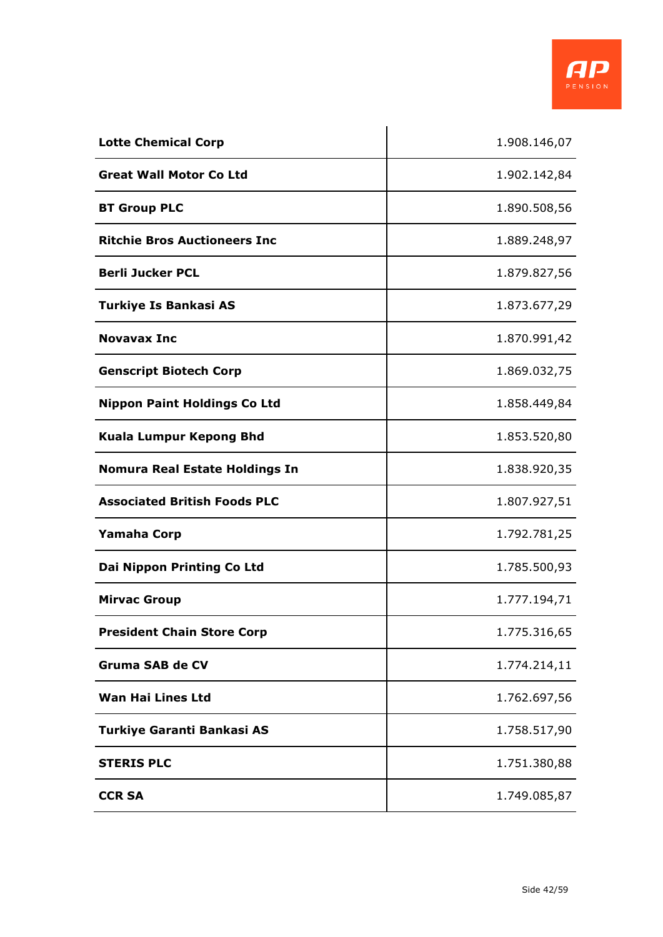

| <b>Lotte Chemical Corp</b>            | 1.908.146,07 |
|---------------------------------------|--------------|
| <b>Great Wall Motor Co Ltd</b>        | 1.902.142,84 |
| <b>BT Group PLC</b>                   | 1.890.508,56 |
| <b>Ritchie Bros Auctioneers Inc</b>   | 1.889.248,97 |
| <b>Berli Jucker PCL</b>               | 1.879.827,56 |
| <b>Turkiye Is Bankasi AS</b>          | 1.873.677,29 |
| <b>Novavax Inc</b>                    | 1.870.991,42 |
| <b>Genscript Biotech Corp</b>         | 1.869.032,75 |
| <b>Nippon Paint Holdings Co Ltd</b>   | 1.858.449,84 |
| <b>Kuala Lumpur Kepong Bhd</b>        | 1.853.520,80 |
| <b>Nomura Real Estate Holdings In</b> | 1.838.920,35 |
| <b>Associated British Foods PLC</b>   | 1.807.927,51 |
| <b>Yamaha Corp</b>                    | 1.792.781,25 |
| Dai Nippon Printing Co Ltd            | 1.785.500,93 |
| <b>Mirvac Group</b>                   | 1.777.194,71 |
| <b>President Chain Store Corp</b>     | 1.775.316,65 |
| <b>Gruma SAB de CV</b>                | 1.774.214,11 |
| <b>Wan Hai Lines Ltd</b>              | 1.762.697,56 |
| Turkiye Garanti Bankasi AS            | 1.758.517,90 |
| <b>STERIS PLC</b>                     | 1.751.380,88 |
| <b>CCR SA</b>                         | 1.749.085,87 |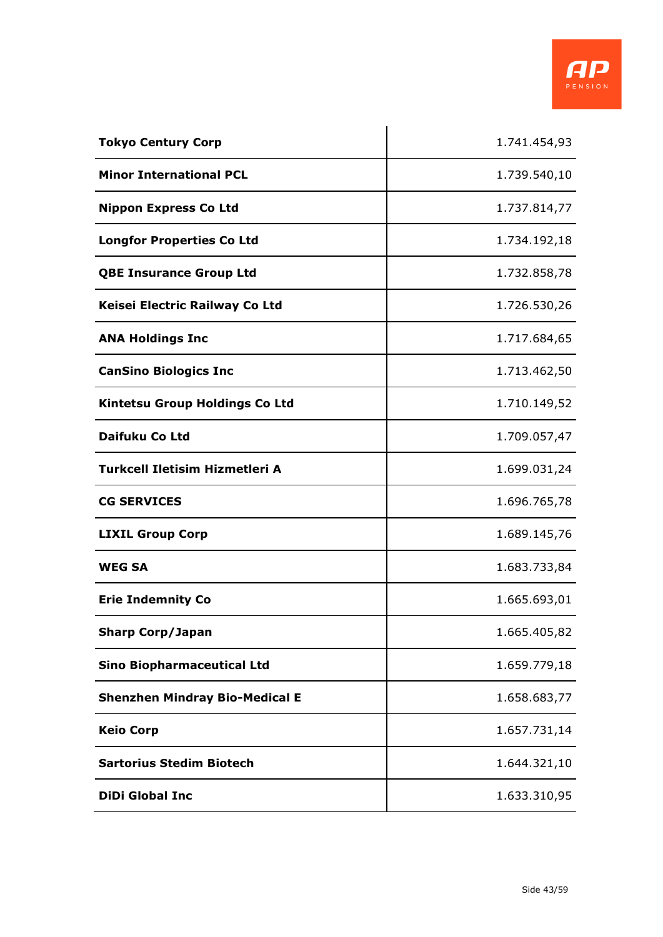

| <b>Tokyo Century Corp</b>             | 1.741.454,93 |
|---------------------------------------|--------------|
| <b>Minor International PCL</b>        | 1.739.540,10 |
| <b>Nippon Express Co Ltd</b>          | 1.737.814,77 |
| <b>Longfor Properties Co Ltd</b>      | 1.734.192,18 |
| <b>QBE Insurance Group Ltd</b>        | 1.732.858,78 |
| Keisei Electric Railway Co Ltd        | 1.726.530,26 |
| <b>ANA Holdings Inc</b>               | 1.717.684,65 |
| <b>CanSino Biologics Inc</b>          | 1.713.462,50 |
| <b>Kintetsu Group Holdings Co Ltd</b> | 1.710.149,52 |
| Daifuku Co Ltd                        | 1.709.057,47 |
| Turkcell Iletisim Hizmetleri A        | 1.699.031,24 |
| <b>CG SERVICES</b>                    | 1.696.765,78 |
| <b>LIXIL Group Corp</b>               | 1.689.145,76 |
| <b>WEG SA</b>                         | 1.683.733,84 |
| <b>Erie Indemnity Co</b>              | 1.665.693,01 |
| <b>Sharp Corp/Japan</b>               | 1.665.405,82 |
| <b>Sino Biopharmaceutical Ltd</b>     | 1.659.779,18 |
| <b>Shenzhen Mindray Bio-Medical E</b> | 1.658.683,77 |
| <b>Keio Corp</b>                      | 1.657.731,14 |
| <b>Sartorius Stedim Biotech</b>       | 1.644.321,10 |
| <b>DiDi Global Inc</b>                | 1.633.310,95 |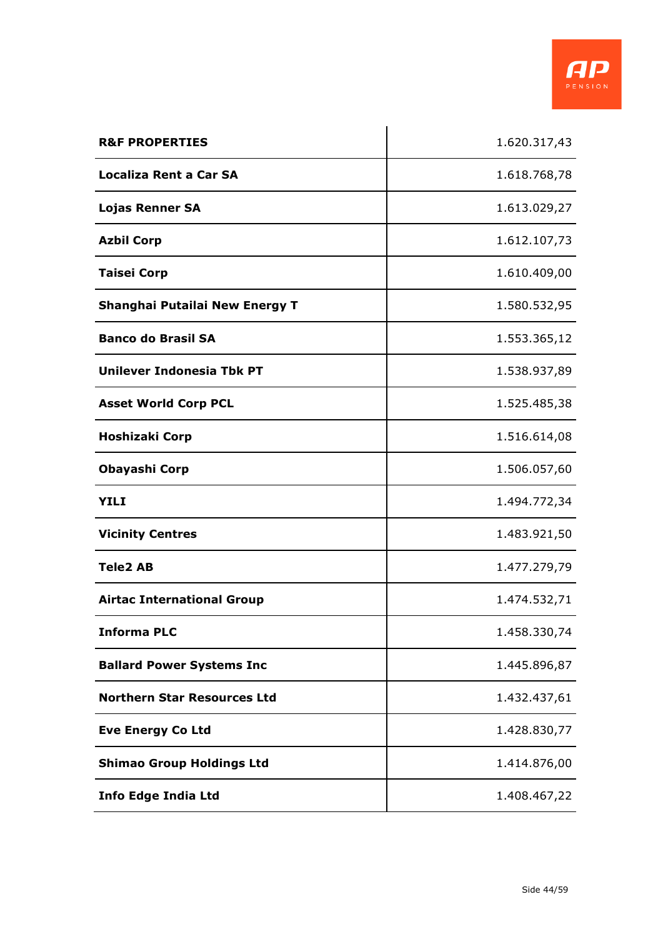

| <b>R&amp;F PROPERTIES</b>          | 1.620.317,43 |
|------------------------------------|--------------|
| <b>Localiza Rent a Car SA</b>      | 1.618.768,78 |
| <b>Lojas Renner SA</b>             | 1.613.029,27 |
| <b>Azbil Corp</b>                  | 1.612.107,73 |
| <b>Taisei Corp</b>                 | 1.610.409,00 |
| Shanghai Putailai New Energy T     | 1.580.532,95 |
| <b>Banco do Brasil SA</b>          | 1.553.365,12 |
| Unilever Indonesia Tbk PT          | 1.538.937,89 |
| <b>Asset World Corp PCL</b>        | 1.525.485,38 |
| Hoshizaki Corp                     | 1.516.614,08 |
| Obayashi Corp                      | 1.506.057,60 |
| YILI                               | 1.494.772,34 |
| <b>Vicinity Centres</b>            | 1.483.921,50 |
| <b>Tele2 AB</b>                    | 1.477.279,79 |
| <b>Airtac International Group</b>  | 1.474.532,71 |
| <b>Informa PLC</b>                 | 1.458.330,74 |
| <b>Ballard Power Systems Inc</b>   | 1.445.896,87 |
| <b>Northern Star Resources Ltd</b> | 1.432.437,61 |
| <b>Eve Energy Co Ltd</b>           | 1.428.830,77 |
| <b>Shimao Group Holdings Ltd</b>   | 1.414.876,00 |
| <b>Info Edge India Ltd</b>         | 1.408.467,22 |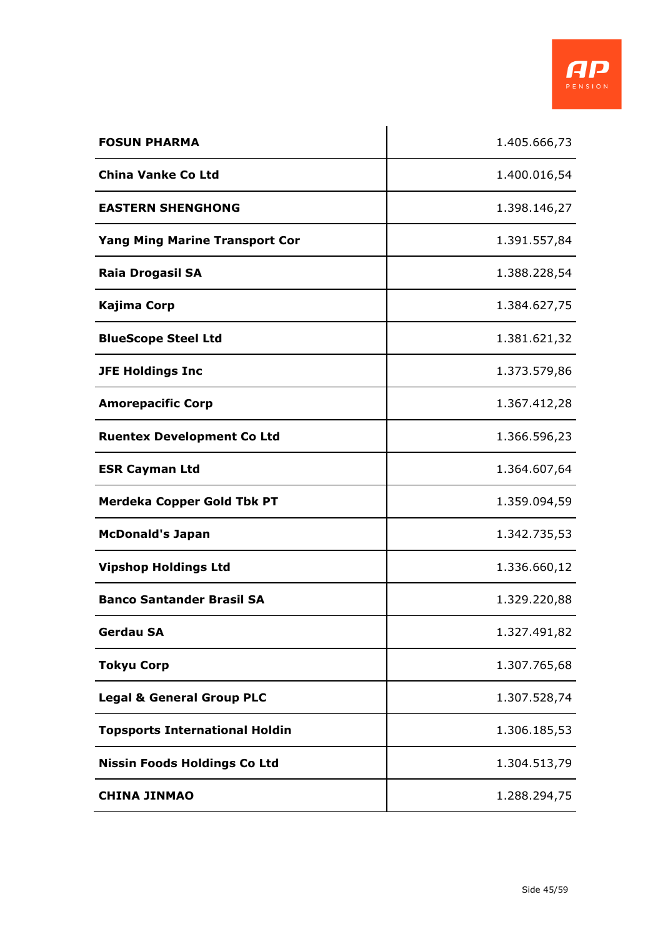

| <b>FOSUN PHARMA</b>                   | 1.405.666,73 |
|---------------------------------------|--------------|
| <b>China Vanke Co Ltd</b>             | 1.400.016,54 |
| <b>EASTERN SHENGHONG</b>              | 1.398.146,27 |
| <b>Yang Ming Marine Transport Cor</b> | 1.391.557,84 |
| <b>Raia Drogasil SA</b>               | 1.388.228,54 |
| Kajima Corp                           | 1.384.627,75 |
| <b>BlueScope Steel Ltd</b>            | 1.381.621,32 |
| <b>JFE Holdings Inc</b>               | 1.373.579,86 |
| <b>Amorepacific Corp</b>              | 1.367.412,28 |
| <b>Ruentex Development Co Ltd</b>     | 1.366.596,23 |
| <b>ESR Cayman Ltd</b>                 | 1.364.607,64 |
| Merdeka Copper Gold Tbk PT            | 1.359.094,59 |
| <b>McDonald's Japan</b>               | 1.342.735,53 |
| <b>Vipshop Holdings Ltd</b>           | 1.336.660,12 |
| <b>Banco Santander Brasil SA</b>      | 1.329.220,88 |
| <b>Gerdau SA</b>                      | 1.327.491,82 |
| <b>Tokyu Corp</b>                     | 1.307.765,68 |
| <b>Legal &amp; General Group PLC</b>  | 1.307.528,74 |
| <b>Topsports International Holdin</b> | 1.306.185,53 |
| <b>Nissin Foods Holdings Co Ltd</b>   | 1.304.513,79 |
| <b>CHINA JINMAO</b>                   | 1.288.294,75 |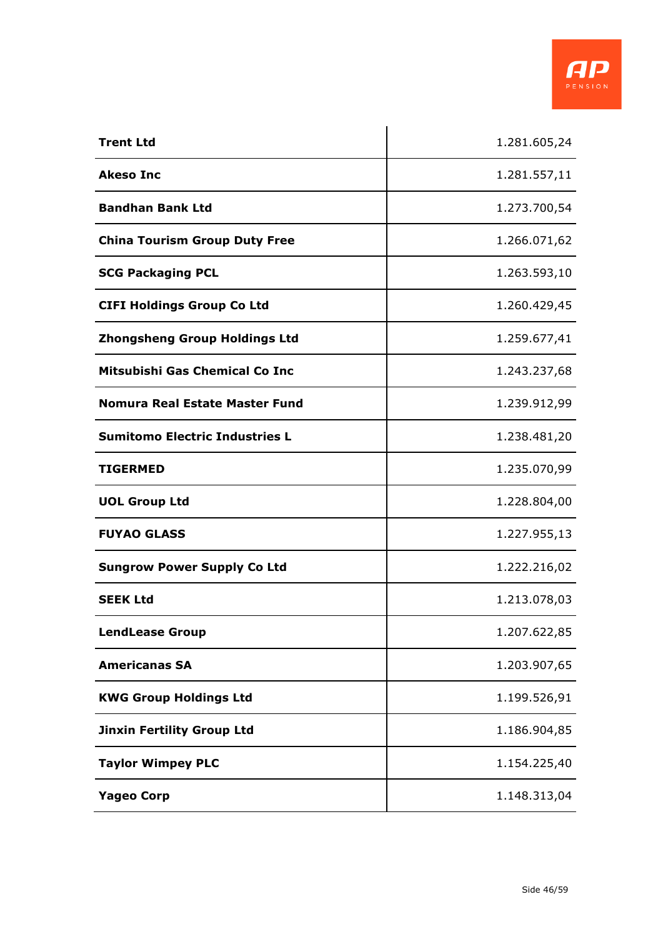

| <b>Trent Ltd</b>                      | 1.281.605,24 |
|---------------------------------------|--------------|
| <b>Akeso Inc</b>                      | 1.281.557,11 |
| <b>Bandhan Bank Ltd</b>               | 1.273.700,54 |
| <b>China Tourism Group Duty Free</b>  | 1.266.071,62 |
| <b>SCG Packaging PCL</b>              | 1.263.593,10 |
| <b>CIFI Holdings Group Co Ltd</b>     | 1.260.429,45 |
| <b>Zhongsheng Group Holdings Ltd</b>  | 1.259.677,41 |
| Mitsubishi Gas Chemical Co Inc        | 1.243.237,68 |
| Nomura Real Estate Master Fund        | 1.239.912,99 |
| <b>Sumitomo Electric Industries L</b> | 1.238.481,20 |
| <b>TIGERMED</b>                       | 1.235.070,99 |
| <b>UOL Group Ltd</b>                  | 1.228.804,00 |
| <b>FUYAO GLASS</b>                    | 1.227.955,13 |
| <b>Sungrow Power Supply Co Ltd</b>    | 1.222.216,02 |
| <b>SEEK Ltd</b>                       | 1.213.078,03 |
| <b>LendLease Group</b>                | 1.207.622,85 |
| <b>Americanas SA</b>                  | 1.203.907,65 |
| <b>KWG Group Holdings Ltd</b>         | 1.199.526,91 |
| <b>Jinxin Fertility Group Ltd</b>     | 1.186.904,85 |
| <b>Taylor Wimpey PLC</b>              | 1.154.225,40 |
| <b>Yageo Corp</b>                     | 1.148.313,04 |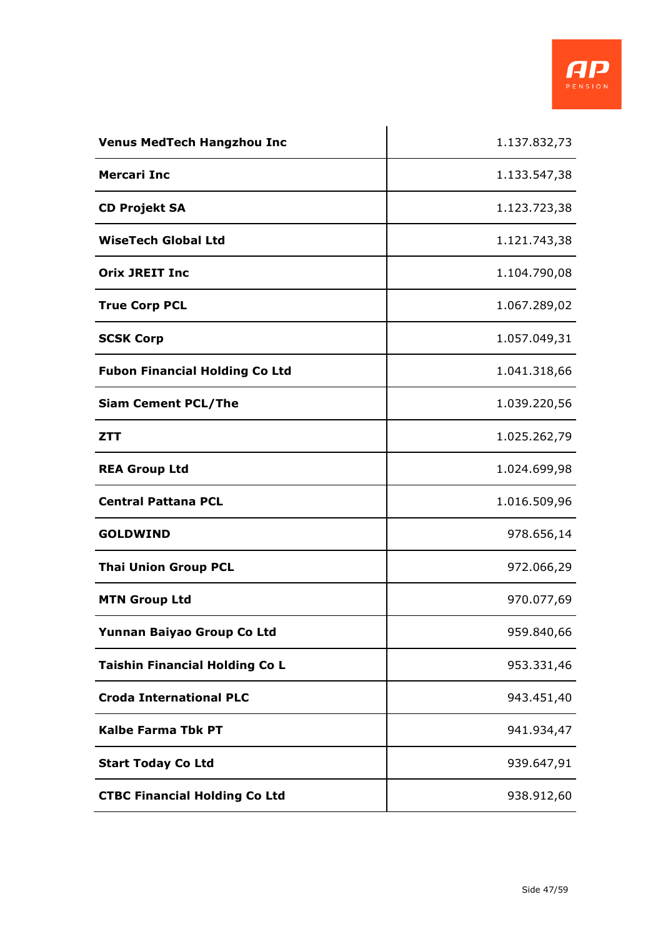

| <b>Venus MedTech Hangzhou Inc</b>     | 1.137.832,73 |
|---------------------------------------|--------------|
| <b>Mercari Inc</b>                    | 1.133.547,38 |
| <b>CD Projekt SA</b>                  | 1.123.723,38 |
| <b>WiseTech Global Ltd</b>            | 1.121.743,38 |
| <b>Orix JREIT Inc</b>                 | 1.104.790,08 |
| <b>True Corp PCL</b>                  | 1.067.289,02 |
| <b>SCSK Corp</b>                      | 1.057.049,31 |
| <b>Fubon Financial Holding Co Ltd</b> | 1.041.318,66 |
| <b>Siam Cement PCL/The</b>            | 1.039.220,56 |
| <b>ZTT</b>                            | 1.025.262,79 |
| <b>REA Group Ltd</b>                  | 1.024.699,98 |
| <b>Central Pattana PCL</b>            | 1.016.509,96 |
| <b>GOLDWIND</b>                       | 978.656,14   |
| <b>Thai Union Group PCL</b>           | 972.066,29   |
| <b>MTN Group Ltd</b>                  | 970.077,69   |
| Yunnan Baiyao Group Co Ltd            | 959.840,66   |
| <b>Taishin Financial Holding Co L</b> | 953.331,46   |
| <b>Croda International PLC</b>        | 943.451,40   |
| <b>Kalbe Farma Tbk PT</b>             | 941.934,47   |
| <b>Start Today Co Ltd</b>             | 939.647,91   |
| <b>CTBC Financial Holding Co Ltd</b>  | 938.912,60   |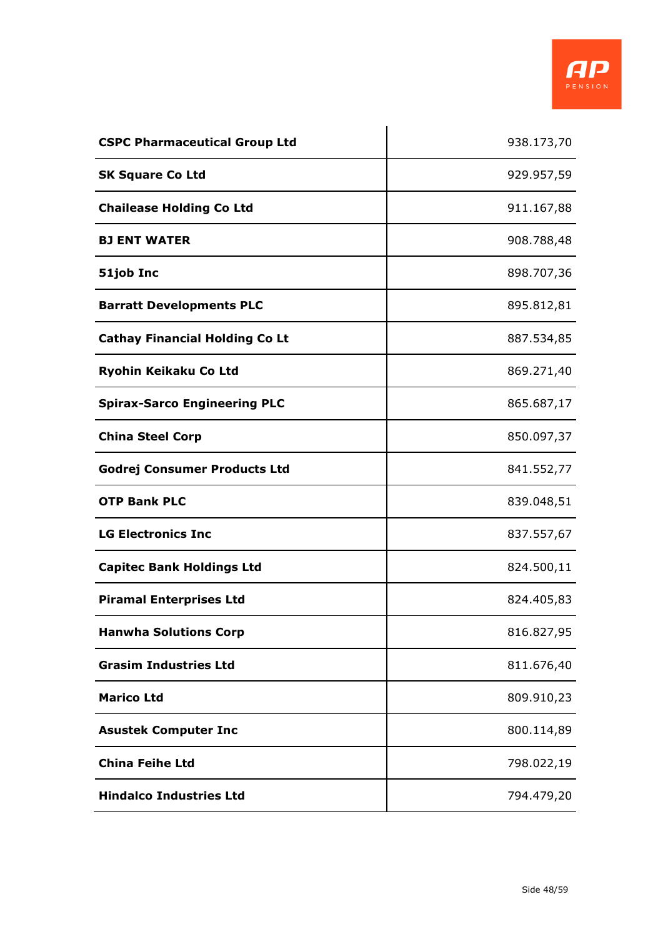| <b>CSPC Pharmaceutical Group Ltd</b>  | 938.173,70 |
|---------------------------------------|------------|
| <b>SK Square Co Ltd</b>               | 929.957,59 |
| <b>Chailease Holding Co Ltd</b>       | 911.167,88 |
| <b>BJ ENT WATER</b>                   | 908.788,48 |
| 51job Inc                             | 898.707,36 |
| <b>Barratt Developments PLC</b>       | 895.812,81 |
| <b>Cathay Financial Holding Co Lt</b> | 887.534,85 |
| Ryohin Keikaku Co Ltd                 | 869.271,40 |
| <b>Spirax-Sarco Engineering PLC</b>   | 865.687,17 |
| <b>China Steel Corp</b>               | 850.097,37 |
| <b>Godrej Consumer Products Ltd</b>   | 841.552,77 |
| <b>OTP Bank PLC</b>                   | 839.048,51 |
| <b>LG Electronics Inc</b>             | 837.557,67 |
| <b>Capitec Bank Holdings Ltd</b>      | 824.500,11 |
| <b>Piramal Enterprises Ltd</b>        | 824.405,83 |
| <b>Hanwha Solutions Corp</b>          | 816.827,95 |
| <b>Grasim Industries Ltd</b>          | 811.676,40 |
| <b>Marico Ltd</b>                     | 809.910,23 |
| <b>Asustek Computer Inc</b>           | 800.114,89 |
| <b>China Feihe Ltd</b>                | 798.022,19 |
| <b>Hindalco Industries Ltd</b>        | 794.479,20 |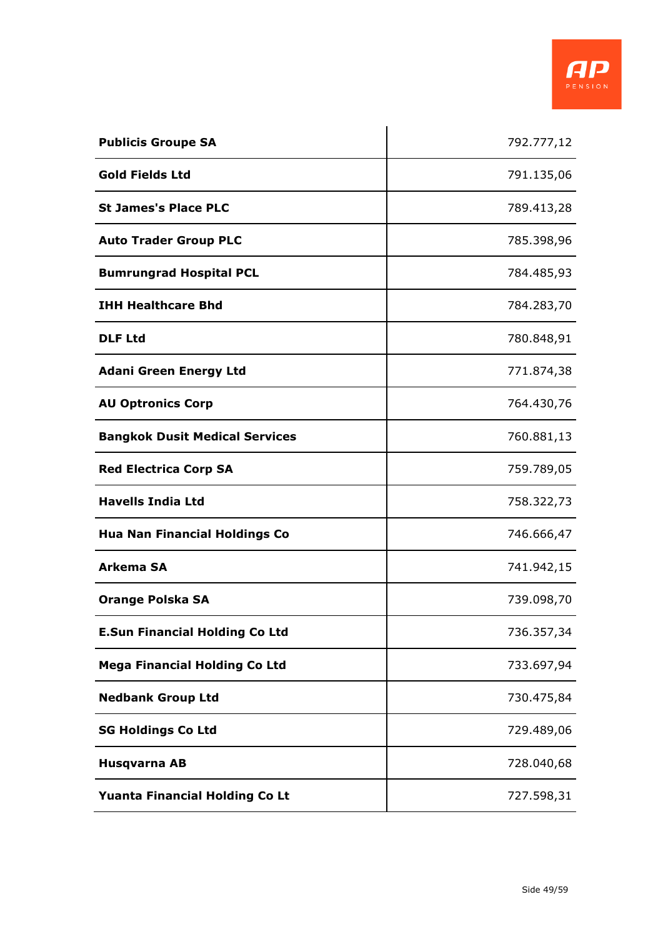| <b>Publicis Groupe SA</b>             | 792.777,12 |
|---------------------------------------|------------|
| <b>Gold Fields Ltd</b>                | 791.135,06 |
| <b>St James's Place PLC</b>           | 789.413,28 |
| <b>Auto Trader Group PLC</b>          | 785.398,96 |
| <b>Bumrungrad Hospital PCL</b>        | 784.485,93 |
| <b>IHH Healthcare Bhd</b>             | 784.283,70 |
| <b>DLF Ltd</b>                        | 780.848,91 |
| <b>Adani Green Energy Ltd</b>         | 771.874,38 |
| <b>AU Optronics Corp</b>              | 764.430,76 |
| <b>Bangkok Dusit Medical Services</b> | 760.881,13 |
| <b>Red Electrica Corp SA</b>          | 759.789,05 |
| <b>Havells India Ltd</b>              | 758.322,73 |
| <b>Hua Nan Financial Holdings Co</b>  | 746.666,47 |
| <b>Arkema SA</b>                      | 741.942,15 |
| <b>Orange Polska SA</b>               | 739.098,70 |
| <b>E.Sun Financial Holding Co Ltd</b> | 736.357,34 |
| <b>Mega Financial Holding Co Ltd</b>  | 733.697,94 |
| <b>Nedbank Group Ltd</b>              | 730.475,84 |
| <b>SG Holdings Co Ltd</b>             | 729.489,06 |
| Husqvarna AB                          | 728.040,68 |
| Yuanta Financial Holding Co Lt        | 727.598,31 |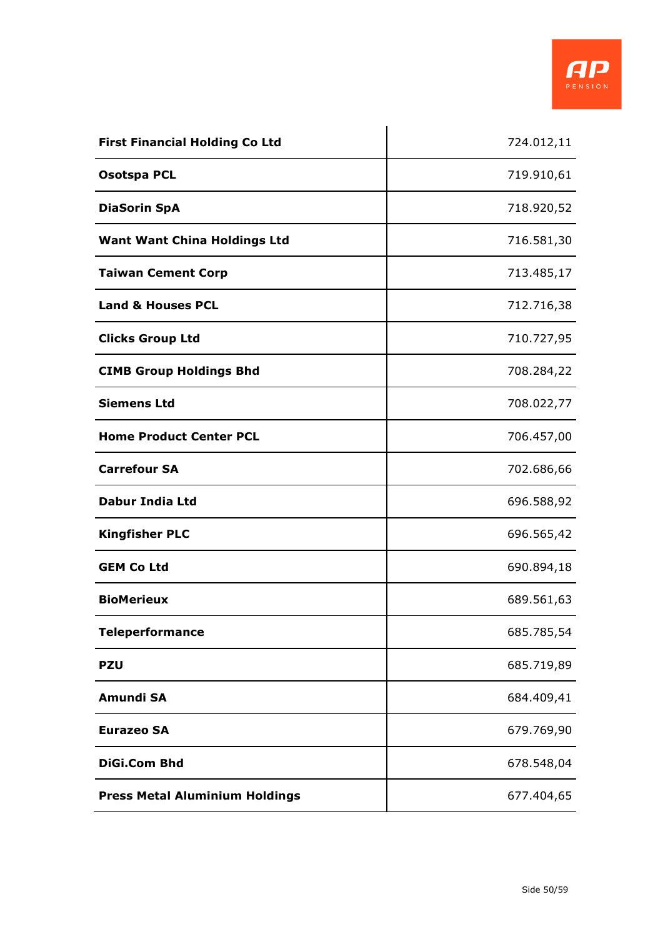| <b>First Financial Holding Co Ltd</b> | 724.012,11 |
|---------------------------------------|------------|
| <b>Osotspa PCL</b>                    | 719.910,61 |
| <b>DiaSorin SpA</b>                   | 718.920,52 |
| <b>Want Want China Holdings Ltd</b>   | 716.581,30 |
| <b>Taiwan Cement Corp</b>             | 713.485,17 |
| <b>Land &amp; Houses PCL</b>          | 712.716,38 |
| <b>Clicks Group Ltd</b>               | 710.727,95 |
| <b>CIMB Group Holdings Bhd</b>        | 708.284,22 |
| <b>Siemens Ltd</b>                    | 708.022,77 |
| <b>Home Product Center PCL</b>        | 706.457,00 |
| <b>Carrefour SA</b>                   | 702.686,66 |
| <b>Dabur India Ltd</b>                | 696.588,92 |
| <b>Kingfisher PLC</b>                 | 696.565,42 |
| <b>GEM Co Ltd</b>                     | 690.894,18 |
| <b>BioMerieux</b>                     | 689.561,63 |
| <b>Teleperformance</b>                | 685.785,54 |
| <b>PZU</b>                            | 685.719,89 |
| Amundi SA                             | 684.409,41 |
| <b>Eurazeo SA</b>                     | 679.769,90 |
| <b>DiGi.Com Bhd</b>                   | 678.548,04 |
| <b>Press Metal Aluminium Holdings</b> | 677.404,65 |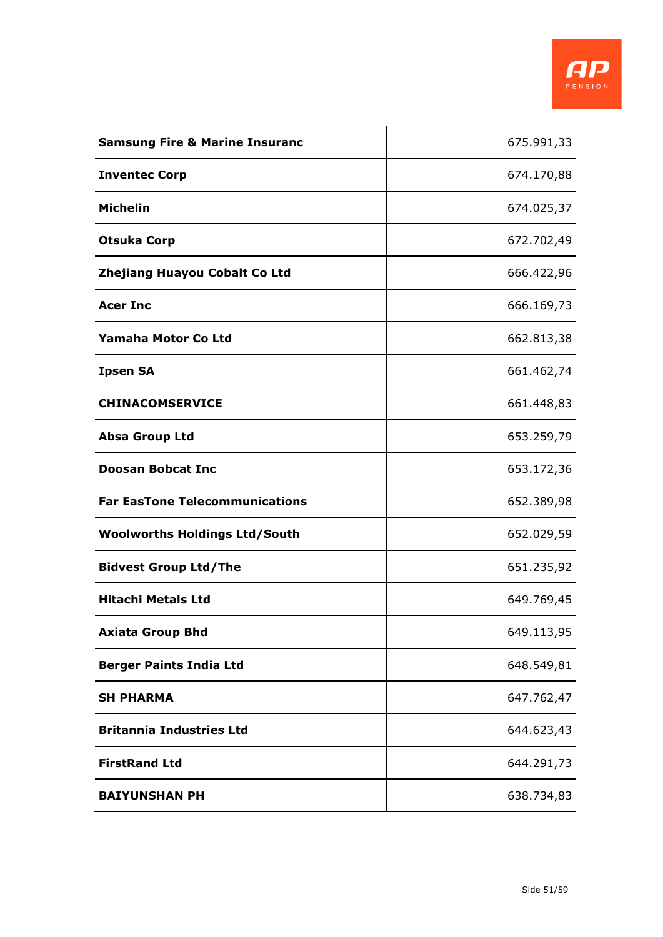

| <b>Samsung Fire &amp; Marine Insuranc</b> | 675.991,33 |
|-------------------------------------------|------------|
| <b>Inventec Corp</b>                      | 674.170,88 |
| <b>Michelin</b>                           | 674.025,37 |
| <b>Otsuka Corp</b>                        | 672.702,49 |
| Zhejiang Huayou Cobalt Co Ltd             | 666.422,96 |
| <b>Acer Inc</b>                           | 666.169,73 |
| Yamaha Motor Co Ltd                       | 662.813,38 |
| <b>Ipsen SA</b>                           | 661.462,74 |
| <b>CHINACOMSERVICE</b>                    | 661.448,83 |
| <b>Absa Group Ltd</b>                     | 653.259,79 |
| <b>Doosan Bobcat Inc</b>                  | 653.172,36 |
| <b>Far EasTone Telecommunications</b>     | 652.389,98 |
| <b>Woolworths Holdings Ltd/South</b>      | 652.029,59 |
| <b>Bidvest Group Ltd/The</b>              | 651.235,92 |
| <b>Hitachi Metals Ltd</b>                 | 649.769,45 |
| <b>Axiata Group Bhd</b>                   | 649.113,95 |
| <b>Berger Paints India Ltd</b>            | 648.549,81 |
| <b>SH PHARMA</b>                          | 647.762,47 |
| <b>Britannia Industries Ltd</b>           | 644.623,43 |
| <b>FirstRand Ltd</b>                      | 644.291,73 |
| <b>BAIYUNSHAN PH</b>                      | 638.734,83 |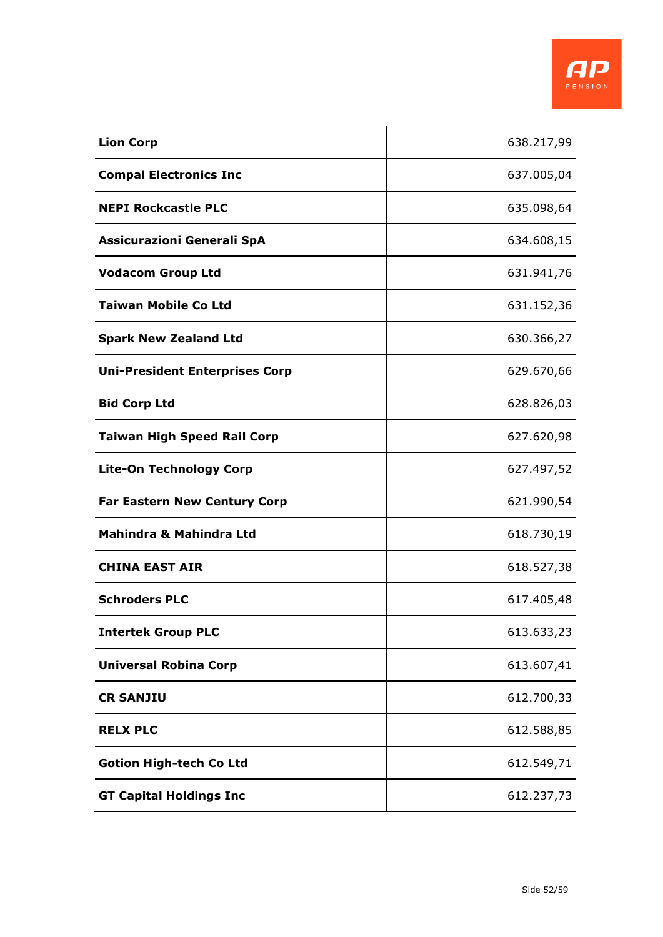| <b>Lion Corp</b>                      | 638.217,99 |
|---------------------------------------|------------|
| <b>Compal Electronics Inc</b>         | 637.005,04 |
| <b>NEPI Rockcastle PLC</b>            | 635.098,64 |
| Assicurazioni Generali SpA            | 634.608,15 |
| <b>Vodacom Group Ltd</b>              | 631.941,76 |
| <b>Taiwan Mobile Co Ltd</b>           | 631.152,36 |
| <b>Spark New Zealand Ltd</b>          | 630.366,27 |
| <b>Uni-President Enterprises Corp</b> | 629.670,66 |
| <b>Bid Corp Ltd</b>                   | 628.826,03 |
| <b>Taiwan High Speed Rail Corp</b>    | 627.620,98 |
| <b>Lite-On Technology Corp</b>        | 627.497,52 |
| <b>Far Eastern New Century Corp</b>   | 621.990,54 |
| <b>Mahindra &amp; Mahindra Ltd</b>    | 618.730,19 |
| <b>CHINA EAST AIR</b>                 | 618.527,38 |
| <b>Schroders PLC</b>                  | 617.405,48 |
| <b>Intertek Group PLC</b>             | 613.633,23 |
| <b>Universal Robina Corp</b>          | 613.607,41 |
| <b>CR SANJIU</b>                      | 612.700,33 |
| <b>RELX PLC</b>                       | 612.588,85 |
| <b>Gotion High-tech Co Ltd</b>        | 612.549,71 |
| <b>GT Capital Holdings Inc</b>        | 612.237,73 |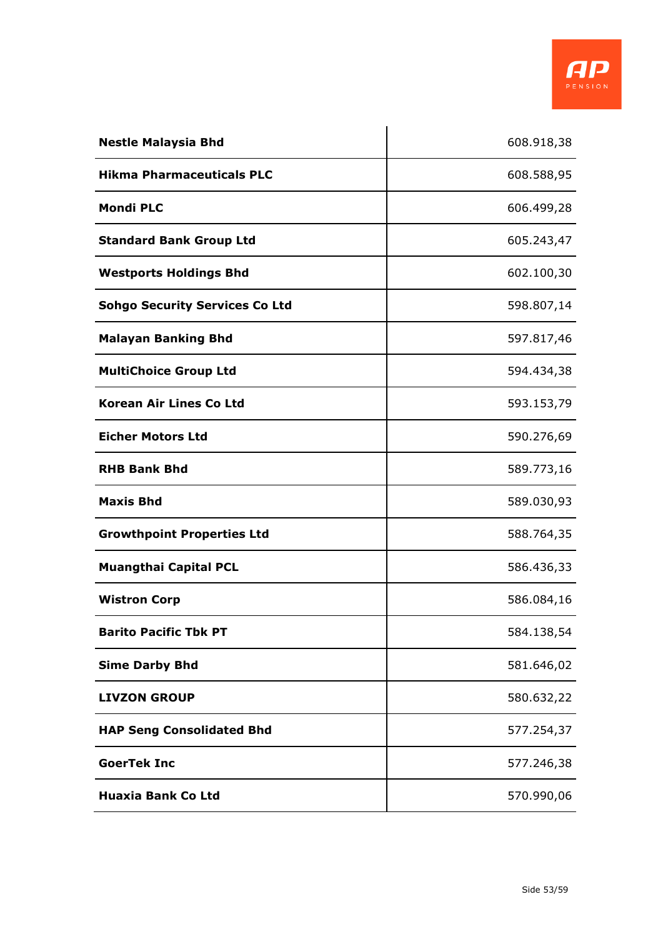

| <b>Nestle Malaysia Bhd</b>            | 608.918,38 |
|---------------------------------------|------------|
| <b>Hikma Pharmaceuticals PLC</b>      | 608.588,95 |
| <b>Mondi PLC</b>                      | 606.499,28 |
| <b>Standard Bank Group Ltd</b>        | 605.243,47 |
| <b>Westports Holdings Bhd</b>         | 602.100,30 |
| <b>Sohgo Security Services Co Ltd</b> | 598.807,14 |
| <b>Malayan Banking Bhd</b>            | 597.817,46 |
| <b>MultiChoice Group Ltd</b>          | 594.434,38 |
| <b>Korean Air Lines Co Ltd</b>        | 593.153,79 |
| <b>Eicher Motors Ltd</b>              | 590.276,69 |
| <b>RHB Bank Bhd</b>                   | 589.773,16 |
| <b>Maxis Bhd</b>                      | 589.030,93 |
| <b>Growthpoint Properties Ltd</b>     | 588.764,35 |
| <b>Muangthai Capital PCL</b>          | 586.436,33 |
| <b>Wistron Corp</b>                   | 586.084,16 |
| <b>Barito Pacific Tbk PT</b>          | 584.138,54 |
| <b>Sime Darby Bhd</b>                 | 581.646,02 |
| <b>LIVZON GROUP</b>                   | 580.632,22 |
| <b>HAP Seng Consolidated Bhd</b>      | 577.254,37 |
| <b>GoerTek Inc</b>                    | 577.246,38 |
| <b>Huaxia Bank Co Ltd</b>             | 570.990,06 |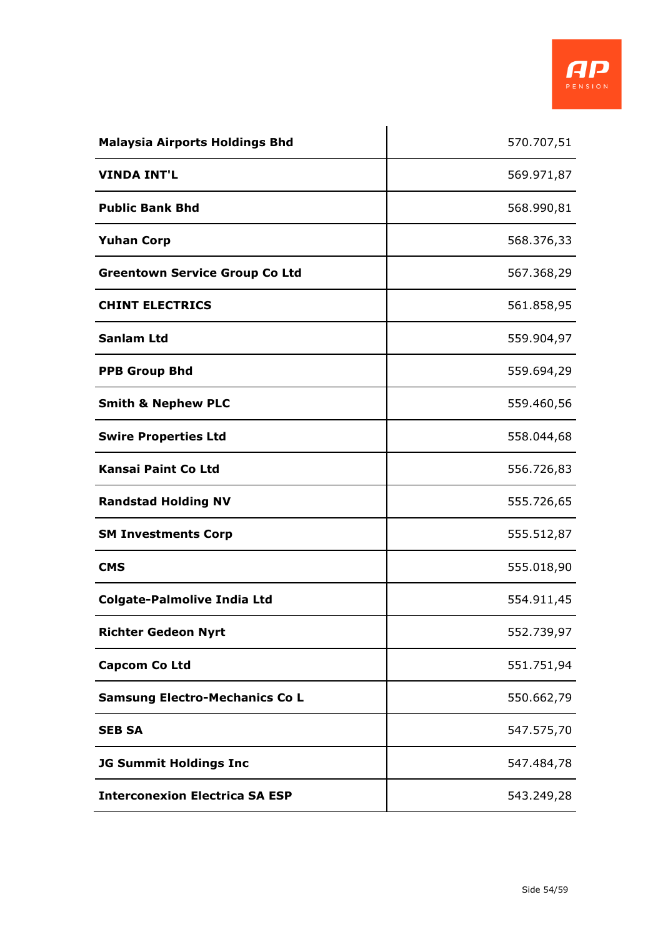

| <b>Malaysia Airports Holdings Bhd</b> | 570.707,51 |
|---------------------------------------|------------|
| <b>VINDA INT'L</b>                    | 569.971,87 |
| <b>Public Bank Bhd</b>                | 568.990,81 |
| <b>Yuhan Corp</b>                     | 568.376,33 |
| <b>Greentown Service Group Co Ltd</b> | 567.368,29 |
| <b>CHINT ELECTRICS</b>                | 561.858,95 |
| <b>Sanlam Ltd</b>                     | 559.904,97 |
| <b>PPB Group Bhd</b>                  | 559.694,29 |
| <b>Smith &amp; Nephew PLC</b>         | 559.460,56 |
| <b>Swire Properties Ltd</b>           | 558.044,68 |
| <b>Kansai Paint Co Ltd</b>            | 556.726,83 |
| <b>Randstad Holding NV</b>            | 555.726,65 |
| <b>SM Investments Corp</b>            | 555.512,87 |
| <b>CMS</b>                            | 555.018,90 |
| <b>Colgate-Palmolive India Ltd</b>    | 554.911,45 |
| <b>Richter Gedeon Nyrt</b>            | 552.739,97 |
| <b>Capcom Co Ltd</b>                  | 551.751,94 |
| <b>Samsung Electro-Mechanics Co L</b> | 550.662,79 |
| <b>SEB SA</b>                         | 547.575,70 |
| <b>JG Summit Holdings Inc</b>         | 547.484,78 |
| <b>Interconexion Electrica SA ESP</b> | 543.249,28 |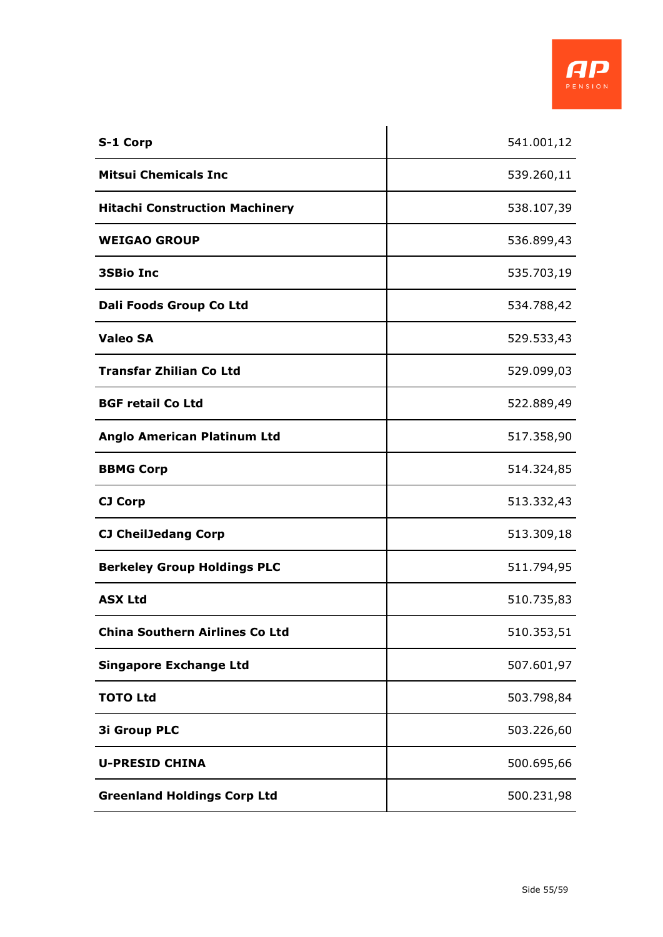| S-1 Corp                              | 541.001,12 |
|---------------------------------------|------------|
| <b>Mitsui Chemicals Inc</b>           | 539.260,11 |
| <b>Hitachi Construction Machinery</b> | 538.107,39 |
| <b>WEIGAO GROUP</b>                   | 536.899,43 |
| <b>3SBio Inc</b>                      | 535.703,19 |
| Dali Foods Group Co Ltd               | 534.788,42 |
| <b>Valeo SA</b>                       | 529.533,43 |
| <b>Transfar Zhilian Co Ltd</b>        | 529.099,03 |
| <b>BGF retail Co Ltd</b>              | 522.889,49 |
| <b>Anglo American Platinum Ltd</b>    | 517.358,90 |
| <b>BBMG Corp</b>                      | 514.324,85 |
| <b>CJ Corp</b>                        | 513.332,43 |
| <b>CJ CheilJedang Corp</b>            | 513.309,18 |
| <b>Berkeley Group Holdings PLC</b>    | 511.794,95 |
| <b>ASX Ltd</b>                        | 510.735,83 |
| <b>China Southern Airlines Co Ltd</b> | 510.353,51 |
| <b>Singapore Exchange Ltd</b>         | 507.601,97 |
| <b>TOTO Ltd</b>                       | 503.798,84 |
| <b>3i Group PLC</b>                   | 503.226,60 |
| <b>U-PRESID CHINA</b>                 | 500.695,66 |
| <b>Greenland Holdings Corp Ltd</b>    | 500.231,98 |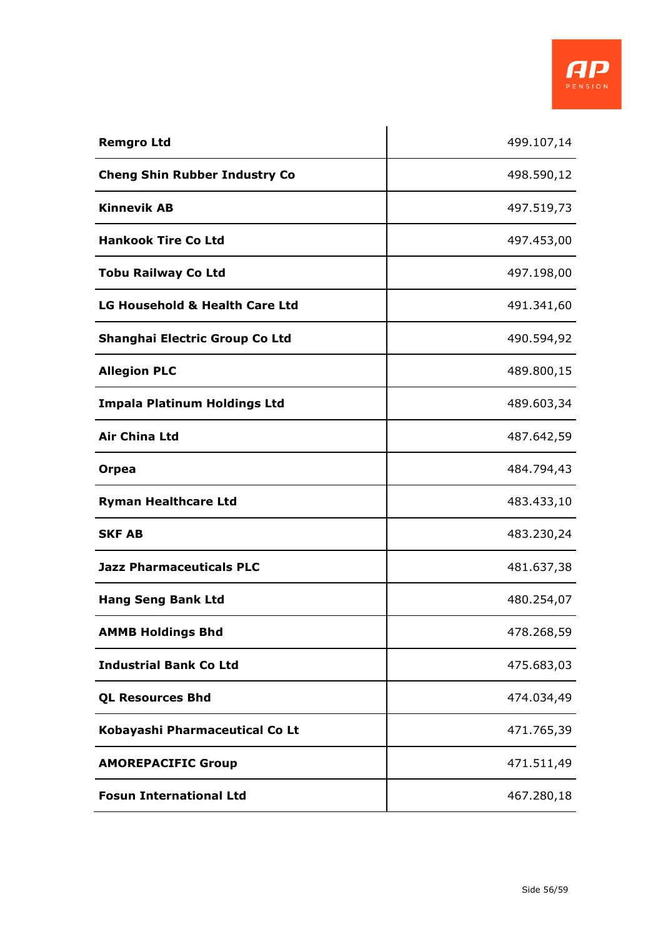

| <b>Remgro Ltd</b>                    | 499.107,14 |
|--------------------------------------|------------|
| <b>Cheng Shin Rubber Industry Co</b> | 498.590,12 |
| <b>Kinnevik AB</b>                   | 497.519,73 |
| <b>Hankook Tire Co Ltd</b>           | 497.453,00 |
| <b>Tobu Railway Co Ltd</b>           | 497.198,00 |
| LG Household & Health Care Ltd       | 491.341,60 |
| Shanghai Electric Group Co Ltd       | 490.594,92 |
| <b>Allegion PLC</b>                  | 489.800,15 |
| <b>Impala Platinum Holdings Ltd</b>  | 489.603,34 |
| <b>Air China Ltd</b>                 | 487.642,59 |
| Orpea                                | 484.794,43 |
| <b>Ryman Healthcare Ltd</b>          | 483.433,10 |
| <b>SKF AB</b>                        | 483.230,24 |
| <b>Jazz Pharmaceuticals PLC</b>      | 481.637,38 |
| <b>Hang Seng Bank Ltd</b>            | 480.254,07 |
| <b>AMMB Holdings Bhd</b>             | 478.268,59 |
| <b>Industrial Bank Co Ltd</b>        | 475.683,03 |
| <b>QL Resources Bhd</b>              | 474.034,49 |
| Kobayashi Pharmaceutical Co Lt       | 471.765,39 |
| <b>AMOREPACIFIC Group</b>            | 471.511,49 |
| <b>Fosun International Ltd</b>       | 467.280,18 |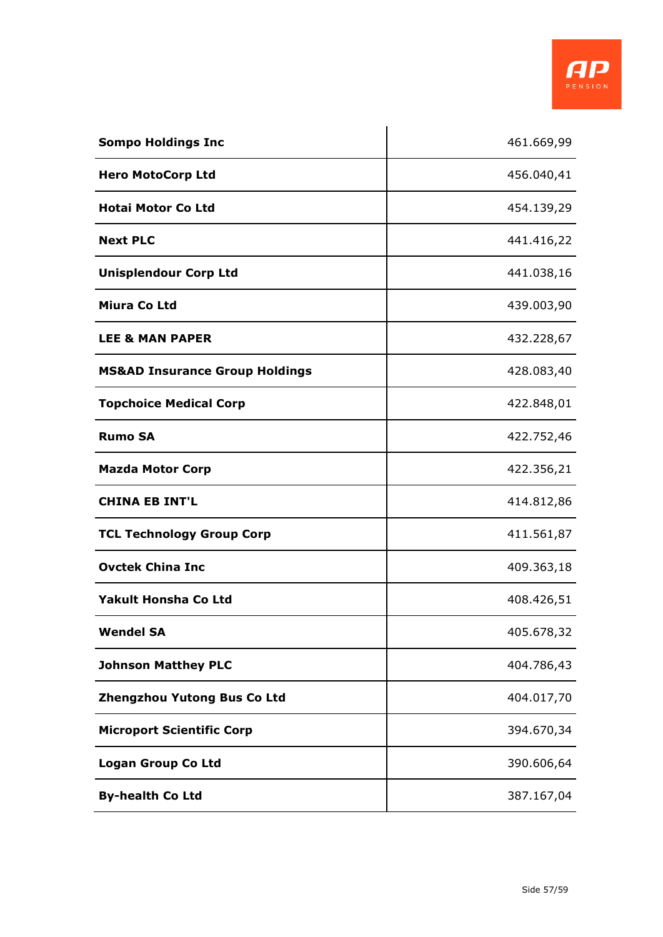

| <b>Sompo Holdings Inc</b>                 | 461.669,99 |
|-------------------------------------------|------------|
| <b>Hero MotoCorp Ltd</b>                  | 456.040,41 |
| <b>Hotai Motor Co Ltd</b>                 | 454.139,29 |
| <b>Next PLC</b>                           | 441.416,22 |
| <b>Unisplendour Corp Ltd</b>              | 441.038,16 |
| Miura Co Ltd                              | 439.003,90 |
| <b>LEE &amp; MAN PAPER</b>                | 432.228,67 |
| <b>MS&amp;AD Insurance Group Holdings</b> | 428.083,40 |
| <b>Topchoice Medical Corp</b>             | 422.848,01 |
| <b>Rumo SA</b>                            | 422.752,46 |
| <b>Mazda Motor Corp</b>                   | 422.356,21 |
| <b>CHINA EB INT'L</b>                     | 414.812,86 |
| <b>TCL Technology Group Corp</b>          | 411.561,87 |
| <b>Ovctek China Inc</b>                   | 409.363,18 |
| <b>Yakult Honsha Co Ltd</b>               | 408.426,51 |
| <b>Wendel SA</b>                          | 405.678,32 |
| <b>Johnson Matthey PLC</b>                | 404.786,43 |
| Zhengzhou Yutong Bus Co Ltd               | 404.017,70 |
| <b>Microport Scientific Corp</b>          | 394.670,34 |
| <b>Logan Group Co Ltd</b>                 | 390.606,64 |
| <b>By-health Co Ltd</b>                   | 387.167,04 |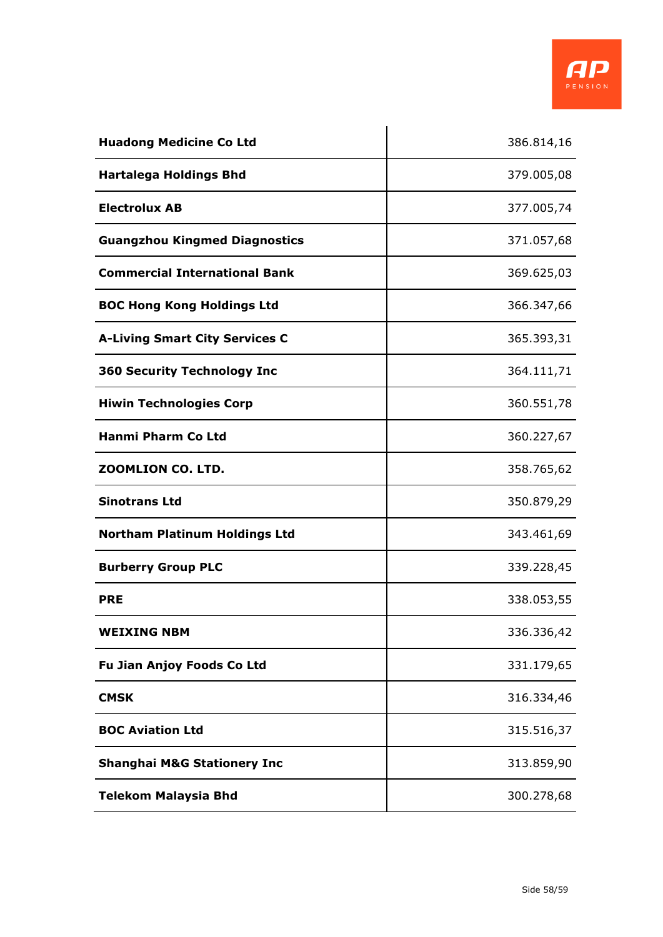| <b>Huadong Medicine Co Ltd</b>         | 386.814,16 |
|----------------------------------------|------------|
| <b>Hartalega Holdings Bhd</b>          | 379.005,08 |
| <b>Electrolux AB</b>                   | 377.005,74 |
| <b>Guangzhou Kingmed Diagnostics</b>   | 371.057,68 |
| <b>Commercial International Bank</b>   | 369.625,03 |
| <b>BOC Hong Kong Holdings Ltd</b>      | 366.347,66 |
| <b>A-Living Smart City Services C</b>  | 365.393,31 |
| <b>360 Security Technology Inc</b>     | 364.111,71 |
| <b>Hiwin Technologies Corp</b>         | 360.551,78 |
| <b>Hanmi Pharm Co Ltd</b>              | 360.227,67 |
| ZOOMLION CO. LTD.                      | 358.765,62 |
| <b>Sinotrans Ltd</b>                   | 350.879,29 |
| <b>Northam Platinum Holdings Ltd</b>   | 343.461,69 |
| <b>Burberry Group PLC</b>              | 339.228,45 |
| <b>PRE</b>                             | 338.053,55 |
| <b>WEIXING NBM</b>                     | 336.336,42 |
| <b>Fu Jian Anjoy Foods Co Ltd</b>      | 331.179,65 |
| <b>CMSK</b>                            | 316.334,46 |
| <b>BOC Aviation Ltd</b>                | 315.516,37 |
| <b>Shanghai M&amp;G Stationery Inc</b> | 313.859,90 |
| <b>Telekom Malaysia Bhd</b>            | 300.278,68 |